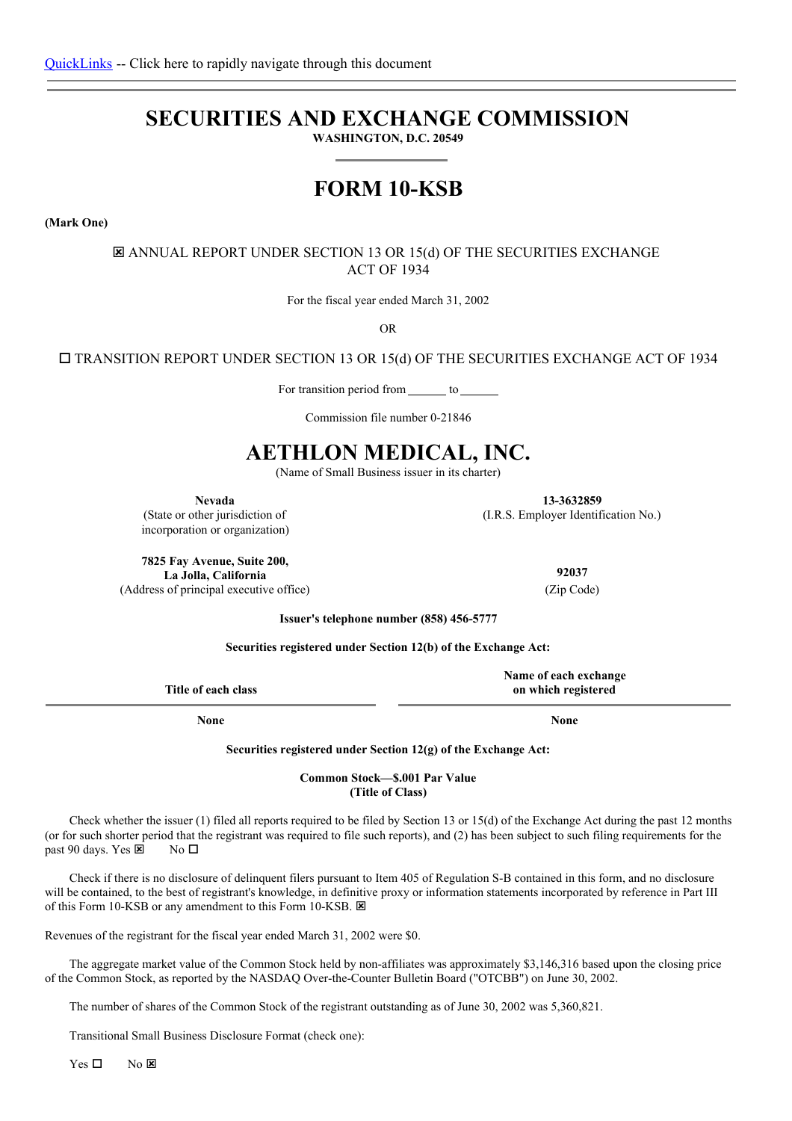# **SECURITIES AND EXCHANGE COMMISSION**

**WASHINGTON, D.C. 20549**

# **FORM 10-KSB**

**(Mark One)**

 $\Xi$  ANNUAL REPORT UNDER SECTION 13 OR 15(d) OF THE SECURITIES EXCHANGE ACT OF 1934

For the fiscal year ended March 31, 2002

OR

 $\square$  TRANSITION REPORT UNDER SECTION 13 OR 15(d) OF THE SECURITIES EXCHANGE ACT OF 1934

For transition period from \_\_\_\_\_\_\_ to \_\_\_\_\_

Commission file number 0-21846

# **AETHLON MEDICAL, INC.**

(Name of Small Business issuer in its charter)

**Nevada 13-3632859**

(State or other jurisdiction of incorporation or organization)

**7825 Fay Avenue, Suite 200, La Jolla, California** (Address of principal executive office) (Zip Code)

**92037**

(I.R.S. Employer Identification No.)

**Issuer's telephone number (858) 456-5777**

**Securities registered under Section 12(b) of the Exchange Act:**

|                     | Name of each exchange |
|---------------------|-----------------------|
| Title of each class | on which registered   |
|                     |                       |

**None None**

**Securities registered under Section 12(g) of the Exchange Act:**

**Common Stock—\$.001 Par Value (Title of Class)**

Check whether the issuer (1) filed all reports required to be filed by Section 13 or 15(d) of the Exchange Act during the past 12 months (or for such shorter period that the registrant was required to file such reports), and (2) has been subject to such filing requirements for the past 90 days. Yes  $\overline{\mathbf{z}}$  No  $\Box$ 

Check if there is no disclosure of delinquent filers pursuant to Item 405 of Regulation S-B contained in this form, and no disclosure will be contained, to the best of registrant's knowledge, in definitive proxy or information statements incorporated by reference in Part III of this Form 10-KSB or any amendment to this Form 10-KSB.  $\boxtimes$ 

Revenues of the registrant for the fiscal year ended March 31, 2002 were \$0.

The aggregate market value of the Common Stock held by non-affiliates was approximately \$3,146,316 based upon the closing price of the Common Stock, as reported by the NASDAQ Over-the-Counter Bulletin Board ("OTCBB") on June 30, 2002.

The number of shares of the Common Stock of the registrant outstanding as of June 30, 2002 was 5,360,821.

Transitional Small Business Disclosure Format (check one):

 $Yes \Box$  No  $X$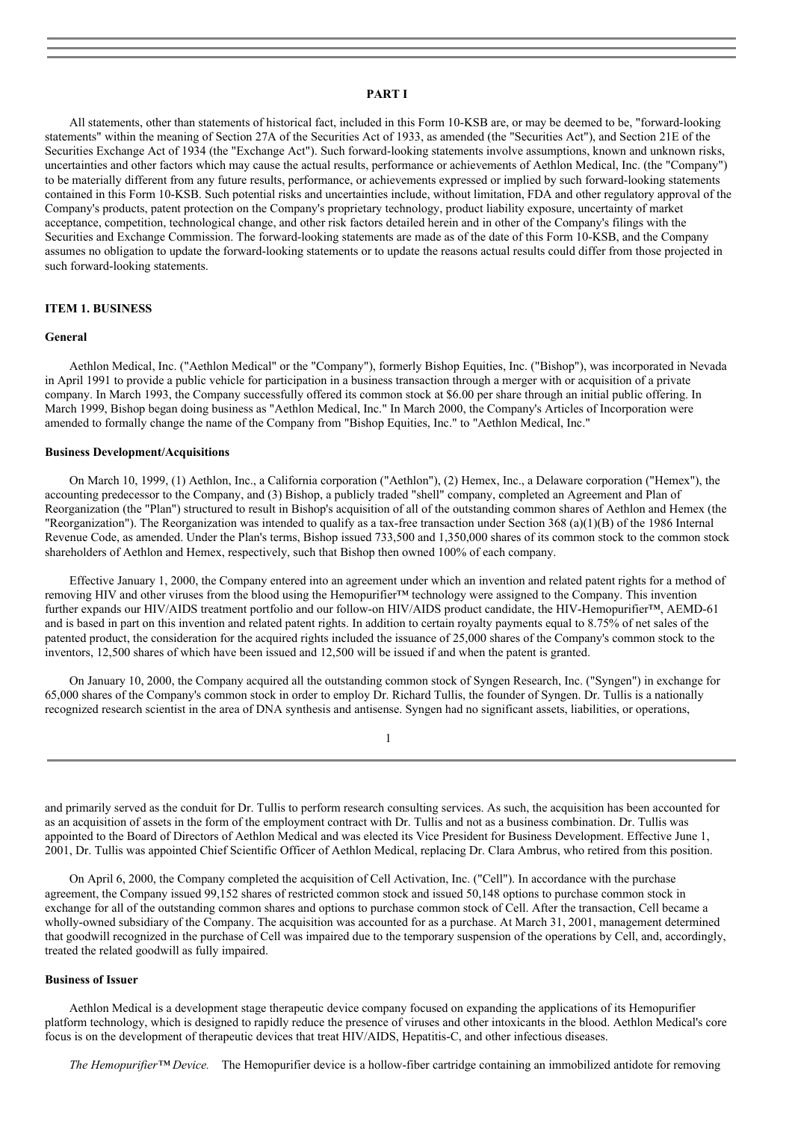# **PART I**

All statements, other than statements of historical fact, included in this Form 10-KSB are, or may be deemed to be, "forward-looking statements" within the meaning of Section 27A of the Securities Act of 1933, as amended (the "Securities Act"), and Section 21E of the Securities Exchange Act of 1934 (the "Exchange Act"). Such forward-looking statements involve assumptions, known and unknown risks, uncertainties and other factors which may cause the actual results, performance or achievements of Aethlon Medical, Inc. (the "Company") to be materially different from any future results, performance, or achievements expressed or implied by such forward-looking statements contained in this Form 10-KSB. Such potential risks and uncertainties include, without limitation, FDA and other regulatory approval of the Company's products, patent protection on the Company's proprietary technology, product liability exposure, uncertainty of market acceptance, competition, technological change, and other risk factors detailed herein and in other of the Company's filings with the Securities and Exchange Commission. The forward-looking statements are made as of the date of this Form 10-KSB, and the Company assumes no obligation to update the forward-looking statements or to update the reasons actual results could differ from those projected in such forward-looking statements.

# **ITEM 1. BUSINESS**

## **General**

Aethlon Medical, Inc. ("Aethlon Medical" or the "Company"), formerly Bishop Equities, Inc. ("Bishop"), was incorporated in Nevada in April 1991 to provide a public vehicle for participation in a business transaction through a merger with or acquisition of a private company. In March 1993, the Company successfully offered its common stock at \$6.00 per share through an initial public offering. In March 1999, Bishop began doing business as "Aethlon Medical, Inc." In March 2000, the Company's Articles of Incorporation were amended to formally change the name of the Company from "Bishop Equities, Inc." to "Aethlon Medical, Inc."

# **Business Development/Acquisitions**

On March 10, 1999, (1) Aethlon, Inc., a California corporation ("Aethlon"), (2) Hemex, Inc., a Delaware corporation ("Hemex"), the accounting predecessor to the Company, and (3) Bishop, a publicly traded "shell" company, completed an Agreement and Plan of Reorganization (the "Plan") structured to result in Bishop's acquisition of all of the outstanding common shares of Aethlon and Hemex (the "Reorganization"). The Reorganization was intended to qualify as a tax-free transaction under Section 368 (a)(1)(B) of the 1986 Internal Revenue Code, as amended. Under the Plan's terms, Bishop issued 733,500 and 1,350,000 shares of its common stock to the common stock shareholders of Aethlon and Hemex, respectively, such that Bishop then owned 100% of each company.

Effective January 1, 2000, the Company entered into an agreement under which an invention and related patent rights for a method of removing HIV and other viruses from the blood using the Hemopurifier™ technology were assigned to the Company. This invention further expands our HIV/AIDS treatment portfolio and our follow-on HIV/AIDS product candidate, the HIV-Hemopurifier™, AEMD-61 and is based in part on this invention and related patent rights. In addition to certain royalty payments equal to 8.75% of net sales of the patented product, the consideration for the acquired rights included the issuance of 25,000 shares of the Company's common stock to the inventors, 12,500 shares of which have been issued and 12,500 will be issued if and when the patent is granted.

On January 10, 2000, the Company acquired all the outstanding common stock of Syngen Research, Inc. ("Syngen") in exchange for 65,000 shares of the Company's common stock in order to employ Dr. Richard Tullis, the founder of Syngen. Dr. Tullis is a nationally recognized research scientist in the area of DNA synthesis and antisense. Syngen had no significant assets, liabilities, or operations,

|  | c |  |  |
|--|---|--|--|
|  |   |  |  |
|  |   |  |  |

and primarily served as the conduit for Dr. Tullis to perform research consulting services. As such, the acquisition has been accounted for as an acquisition of assets in the form of the employment contract with Dr. Tullis and not as a business combination. Dr. Tullis was appointed to the Board of Directors of Aethlon Medical and was elected its Vice President for Business Development. Effective June 1, 2001, Dr. Tullis was appointed Chief Scientific Officer of Aethlon Medical, replacing Dr. Clara Ambrus, who retired from this position.

On April 6, 2000, the Company completed the acquisition of Cell Activation, Inc. ("Cell"). In accordance with the purchase agreement, the Company issued 99,152 shares of restricted common stock and issued 50,148 options to purchase common stock in exchange for all of the outstanding common shares and options to purchase common stock of Cell. After the transaction, Cell became a wholly-owned subsidiary of the Company. The acquisition was accounted for as a purchase. At March 31, 2001, management determined that goodwill recognized in the purchase of Cell was impaired due to the temporary suspension of the operations by Cell, and, accordingly, treated the related goodwill as fully impaired.

#### **Business of Issuer**

Aethlon Medical is a development stage therapeutic device company focused on expanding the applications of its Hemopurifier platform technology, which is designed to rapidly reduce the presence of viruses and other intoxicants in the blood. Aethlon Medical's core focus is on the development of therapeutic devices that treat HIV/AIDS, Hepatitis-C, and other infectious diseases.

*The Hemopurifier™ Device.* The Hemopurifier device is a hollow-fiber cartridge containing an immobilized antidote for removing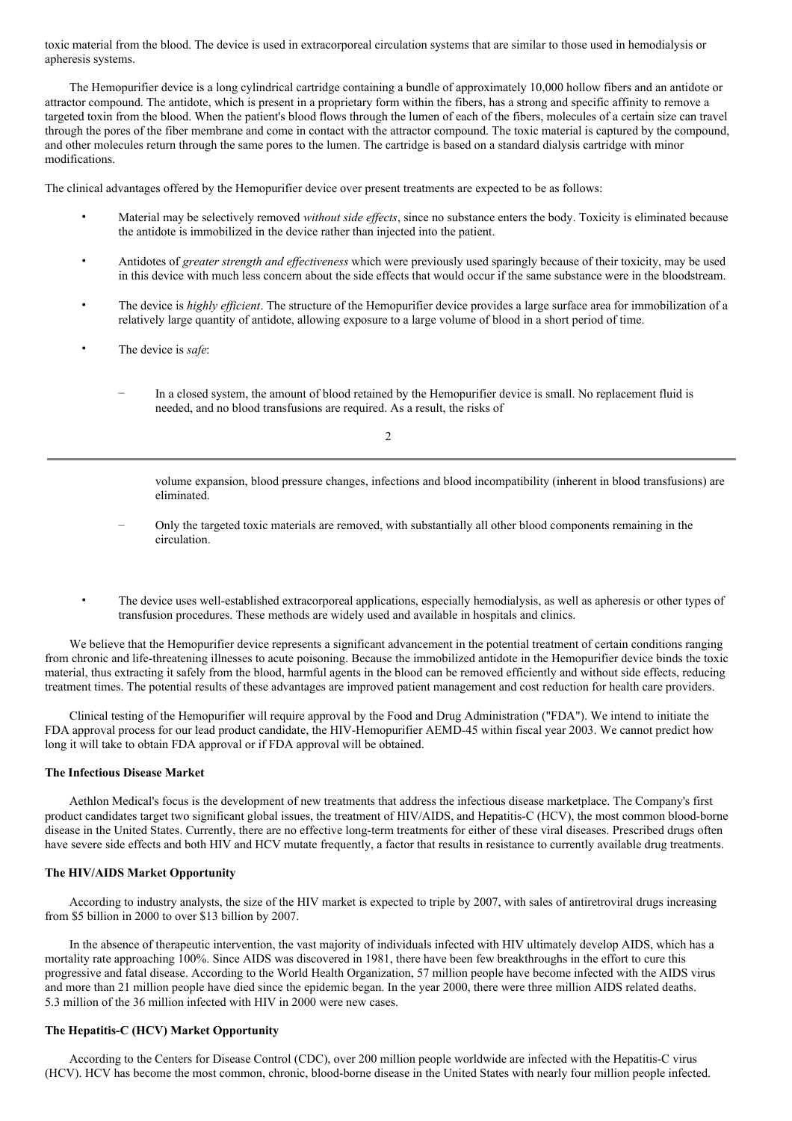toxic material from the blood. The device is used in extracorporeal circulation systems that are similar to those used in hemodialysis or apheresis systems.

The Hemopurifier device is a long cylindrical cartridge containing a bundle of approximately 10,000 hollow fibers and an antidote or attractor compound. The antidote, which is present in a proprietary form within the fibers, has a strong and specific affinity to remove a targeted toxin from the blood. When the patient's blood flows through the lumen of each of the fibers, molecules of a certain size can travel through the pores of the fiber membrane and come in contact with the attractor compound. The toxic material is captured by the compound, and other molecules return through the same pores to the lumen. The cartridge is based on a standard dialysis cartridge with minor modifications.

The clinical advantages offered by the Hemopurifier device over present treatments are expected to be as follows:

- Material may be selectively removed *without side ef ects*, since no substance enters the body. Toxicity is eliminated because the antidote is immobilized in the device rather than injected into the patient.
- Antidotes of *greater strength and ef ectiveness* which were previously used sparingly because of their toxicity, may be used in this device with much less concern about the side effects that would occur if the same substance were in the bloodstream.
- The device is *highly ef icient*. The structure of the Hemopurifier device provides a large surface area for immobilization of a relatively large quantity of antidote, allowing exposure to a large volume of blood in a short period of time.
- The device is *safe*:
	- In a closed system, the amount of blood retained by the Hemopurifier device is small. No replacement fluid is needed, and no blood transfusions are required. As a result, the risks of

 $\mathcal{L}$ 

volume expansion, blood pressure changes, infections and blood incompatibility (inherent in blood transfusions) are eliminated.

- Only the targeted toxic materials are removed, with substantially all other blood components remaining in the circulation.
- The device uses well-established extracorporeal applications, especially hemodialysis, as well as apheresis or other types of transfusion procedures. These methods are widely used and available in hospitals and clinics.

We believe that the Hemopurifier device represents a significant advancement in the potential treatment of certain conditions ranging from chronic and life-threatening illnesses to acute poisoning. Because the immobilized antidote in the Hemopurifier device binds the toxic material, thus extracting it safely from the blood, harmful agents in the blood can be removed efficiently and without side effects, reducing treatment times. The potential results of these advantages are improved patient management and cost reduction for health care providers.

Clinical testing of the Hemopurifier will require approval by the Food and Drug Administration ("FDA"). We intend to initiate the FDA approval process for our lead product candidate, the HIV-Hemopurifier AEMD-45 within fiscal year 2003. We cannot predict how long it will take to obtain FDA approval or if FDA approval will be obtained.

## **The Infectious Disease Market**

Aethlon Medical's focus is the development of new treatments that address the infectious disease marketplace. The Company's first product candidates target two significant global issues, the treatment of HIV/AIDS, and Hepatitis-C (HCV), the most common blood-borne disease in the United States. Currently, there are no effective long-term treatments for either of these viral diseases. Prescribed drugs often have severe side effects and both HIV and HCV mutate frequently, a factor that results in resistance to currently available drug treatments.

## **The HIV/AIDS Market Opportunity**

According to industry analysts, the size of the HIV market is expected to triple by 2007, with sales of antiretroviral drugs increasing from \$5 billion in 2000 to over \$13 billion by 2007.

In the absence of therapeutic intervention, the vast majority of individuals infected with HIV ultimately develop AIDS, which has a mortality rate approaching 100%. Since AIDS was discovered in 1981, there have been few breakthroughs in the effort to cure this progressive and fatal disease. According to the World Health Organization, 57 million people have become infected with the AIDS virus and more than 21 million people have died since the epidemic began. In the year 2000, there were three million AIDS related deaths. 5.3 million of the 36 million infected with HIV in 2000 were new cases.

## **The Hepatitis-C (HCV) Market Opportunity**

According to the Centers for Disease Control (CDC), over 200 million people worldwide are infected with the Hepatitis-C virus (HCV). HCV has become the most common, chronic, blood-borne disease in the United States with nearly four million people infected.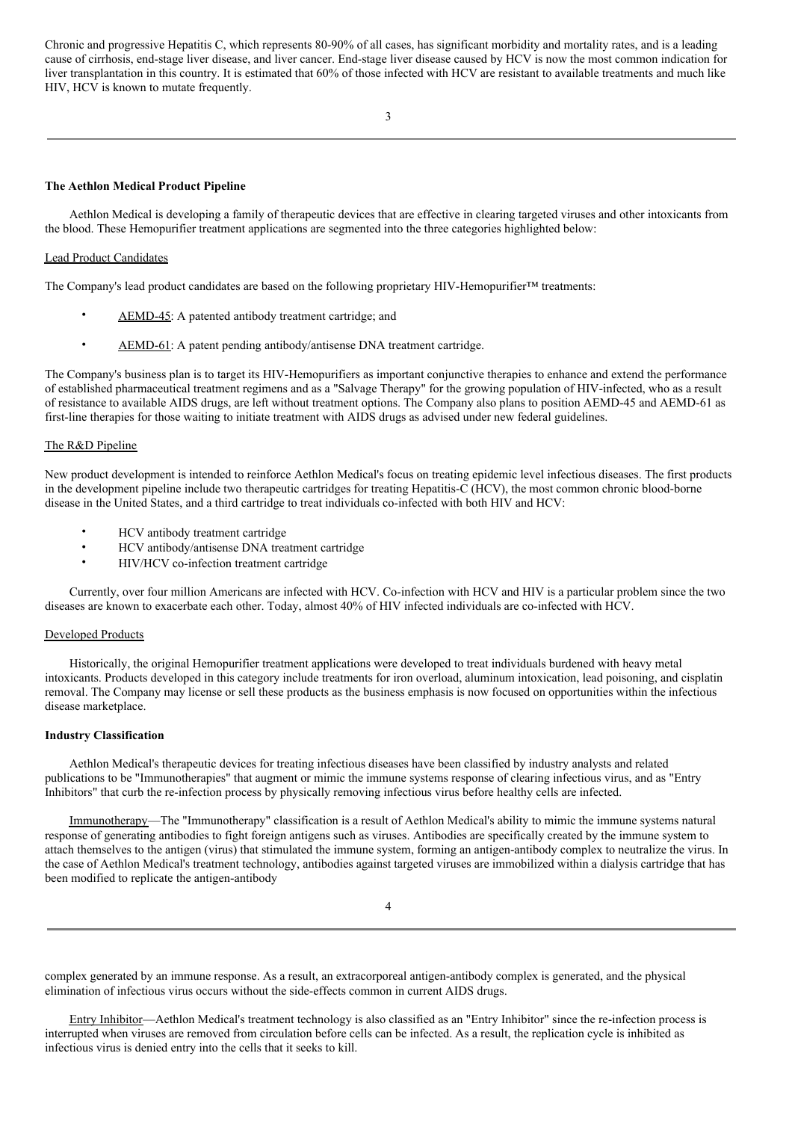Chronic and progressive Hepatitis C, which represents 80-90% of all cases, has significant morbidity and mortality rates, and is a leading cause of cirrhosis, end-stage liver disease, and liver cancer. End-stage liver disease caused by HCV is now the most common indication for liver transplantation in this country. It is estimated that 60% of those infected with HCV are resistant to available treatments and much like HIV, HCV is known to mutate frequently.

## **The Aethlon Medical Product Pipeline**

Aethlon Medical is developing a family of therapeutic devices that are effective in clearing targeted viruses and other intoxicants from the blood. These Hemopurifier treatment applications are segmented into the three categories highlighted below:

## Lead Product Candidates

The Company's lead product candidates are based on the following proprietary HIV-Hemopurifier™ treatments:

- AEMD-45: A patented antibody treatment cartridge; and
- AEMD-61: A patent pending antibody/antisense DNA treatment cartridge.

The Company's business plan is to target its HIV-Hemopurifiers as important conjunctive therapies to enhance and extend the performance of established pharmaceutical treatment regimens and as a "Salvage Therapy" for the growing population of HIV-infected, who as a result of resistance to available AIDS drugs, are left without treatment options. The Company also plans to position AEMD-45 and AEMD-61 as first-line therapies for those waiting to initiate treatment with AIDS drugs as advised under new federal guidelines.

# The R&D Pipeline

New product development is intended to reinforce Aethlon Medical's focus on treating epidemic level infectious diseases. The first products in the development pipeline include two therapeutic cartridges for treating Hepatitis-C (HCV), the most common chronic blood-borne disease in the United States, and a third cartridge to treat individuals co-infected with both HIV and HCV:

- HCV antibody treatment cartridge<br>• HCV antibody/antisense DNA trea
- HCV antibody/antisense DNA treatment cartridge
- HIV/HCV co-infection treatment cartridge

Currently, over four million Americans are infected with HCV. Co-infection with HCV and HIV is a particular problem since the two diseases are known to exacerbate each other. Today, almost 40% of HIV infected individuals are co-infected with HCV.

# Developed Products

Historically, the original Hemopurifier treatment applications were developed to treat individuals burdened with heavy metal intoxicants. Products developed in this category include treatments for iron overload, aluminum intoxication, lead poisoning, and cisplatin removal. The Company may license or sell these products as the business emphasis is now focused on opportunities within the infectious disease marketplace.

## **Industry Classification**

Aethlon Medical's therapeutic devices for treating infectious diseases have been classified by industry analysts and related publications to be "Immunotherapies" that augment or mimic the immune systems response of clearing infectious virus, and as "Entry Inhibitors" that curb the re-infection process by physically removing infectious virus before healthy cells are infected.

Immunotherapy—The "Immunotherapy" classification is a result of Aethlon Medical's ability to mimic the immune systems natural response of generating antibodies to fight foreign antigens such as viruses. Antibodies are specifically created by the immune system to attach themselves to the antigen (virus) that stimulated the immune system, forming an antigen-antibody complex to neutralize the virus. In the case of Aethlon Medical's treatment technology, antibodies against targeted viruses are immobilized within a dialysis cartridge that has been modified to replicate the antigen-antibody

complex generated by an immune response. As a result, an extracorporeal antigen-antibody complex is generated, and the physical elimination of infectious virus occurs without the side-effects common in current AIDS drugs.

Entry Inhibitor—Aethlon Medical's treatment technology is also classified as an "Entry Inhibitor" since the re-infection process is interrupted when viruses are removed from circulation before cells can be infected. As a result, the replication cycle is inhibited as infectious virus is denied entry into the cells that it seeks to kill.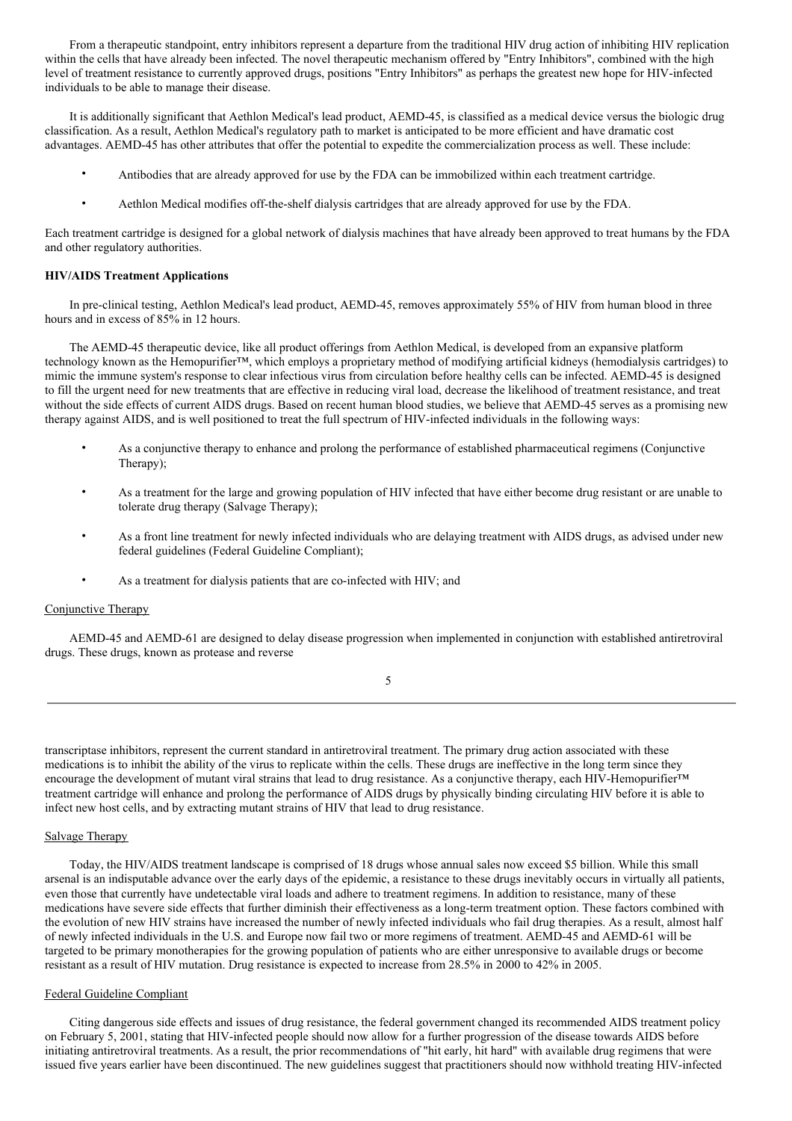From a therapeutic standpoint, entry inhibitors represent a departure from the traditional HIV drug action of inhibiting HIV replication within the cells that have already been infected. The novel therapeutic mechanism offered by "Entry Inhibitors", combined with the high level of treatment resistance to currently approved drugs, positions "Entry Inhibitors" as perhaps the greatest new hope for HIV-infected individuals to be able to manage their disease.

It is additionally significant that Aethlon Medical's lead product, AEMD-45, is classified as a medical device versus the biologic drug classification. As a result, Aethlon Medical's regulatory path to market is anticipated to be more efficient and have dramatic cost advantages. AEMD-45 has other attributes that offer the potential to expedite the commercialization process as well. These include:

- Antibodies that are already approved for use by the FDA can be immobilized within each treatment cartridge.
- Aethlon Medical modifies off-the-shelf dialysis cartridges that are already approved for use by the FDA.

Each treatment cartridge is designed for a global network of dialysis machines that have already been approved to treat humans by the FDA and other regulatory authorities.

# **HIV/AIDS Treatment Applications**

In pre-clinical testing, Aethlon Medical's lead product, AEMD-45, removes approximately 55% of HIV from human blood in three hours and in excess of 85% in 12 hours.

The AEMD-45 therapeutic device, like all product offerings from Aethlon Medical, is developed from an expansive platform technology known as the Hemopurifier™, which employs a proprietary method of modifying artificial kidneys (hemodialysis cartridges) to mimic the immune system's response to clear infectious virus from circulation before healthy cells can be infected. AEMD-45 is designed to fill the urgent need for new treatments that are effective in reducing viral load, decrease the likelihood of treatment resistance, and treat without the side effects of current AIDS drugs. Based on recent human blood studies, we believe that AEMD-45 serves as a promising new therapy against AIDS, and is well positioned to treat the full spectrum of HIV-infected individuals in the following ways:

- As a conjunctive therapy to enhance and prolong the performance of established pharmaceutical regimens (Conjunctive Therapy);
- As a treatment for the large and growing population of HIV infected that have either become drug resistant or are unable to tolerate drug therapy (Salvage Therapy);
- As a front line treatment for newly infected individuals who are delaying treatment with AIDS drugs, as advised under new federal guidelines (Federal Guideline Compliant);
- As a treatment for dialysis patients that are co-infected with HIV; and

# Conjunctive Therapy

AEMD-45 and AEMD-61 are designed to delay disease progression when implemented in conjunction with established antiretroviral drugs. These drugs, known as protease and reverse

| I               |
|-----------------|
| ×               |
| n sa            |
| I<br>i          |
| ۰.<br>- 2<br>۰. |
|                 |

transcriptase inhibitors, represent the current standard in antiretroviral treatment. The primary drug action associated with these medications is to inhibit the ability of the virus to replicate within the cells. These drugs are ineffective in the long term since they encourage the development of mutant viral strains that lead to drug resistance. As a conjunctive therapy, each HIV-Hemopurifier™ treatment cartridge will enhance and prolong the performance of AIDS drugs by physically binding circulating HIV before it is able to infect new host cells, and by extracting mutant strains of HIV that lead to drug resistance.

# Salvage Therapy

Today, the HIV/AIDS treatment landscape is comprised of 18 drugs whose annual sales now exceed \$5 billion. While this small arsenal is an indisputable advance over the early days of the epidemic, a resistance to these drugs inevitably occurs in virtually all patients, even those that currently have undetectable viral loads and adhere to treatment regimens. In addition to resistance, many of these medications have severe side effects that further diminish their effectiveness as a long-term treatment option. These factors combined with the evolution of new HIV strains have increased the number of newly infected individuals who fail drug therapies. As a result, almost half of newly infected individuals in the U.S. and Europe now fail two or more regimens of treatment. AEMD-45 and AEMD-61 will be targeted to be primary monotherapies for the growing population of patients who are either unresponsive to available drugs or become resistant as a result of HIV mutation. Drug resistance is expected to increase from 28.5% in 2000 to 42% in 2005.

## Federal Guideline Compliant

Citing dangerous side effects and issues of drug resistance, the federal government changed its recommended AIDS treatment policy on February 5, 2001, stating that HIV-infected people should now allow for a further progression of the disease towards AIDS before initiating antiretroviral treatments. As a result, the prior recommendations of "hit early, hit hard" with available drug regimens that were issued five years earlier have been discontinued. The new guidelines suggest that practitioners should now withhold treating HIV-infected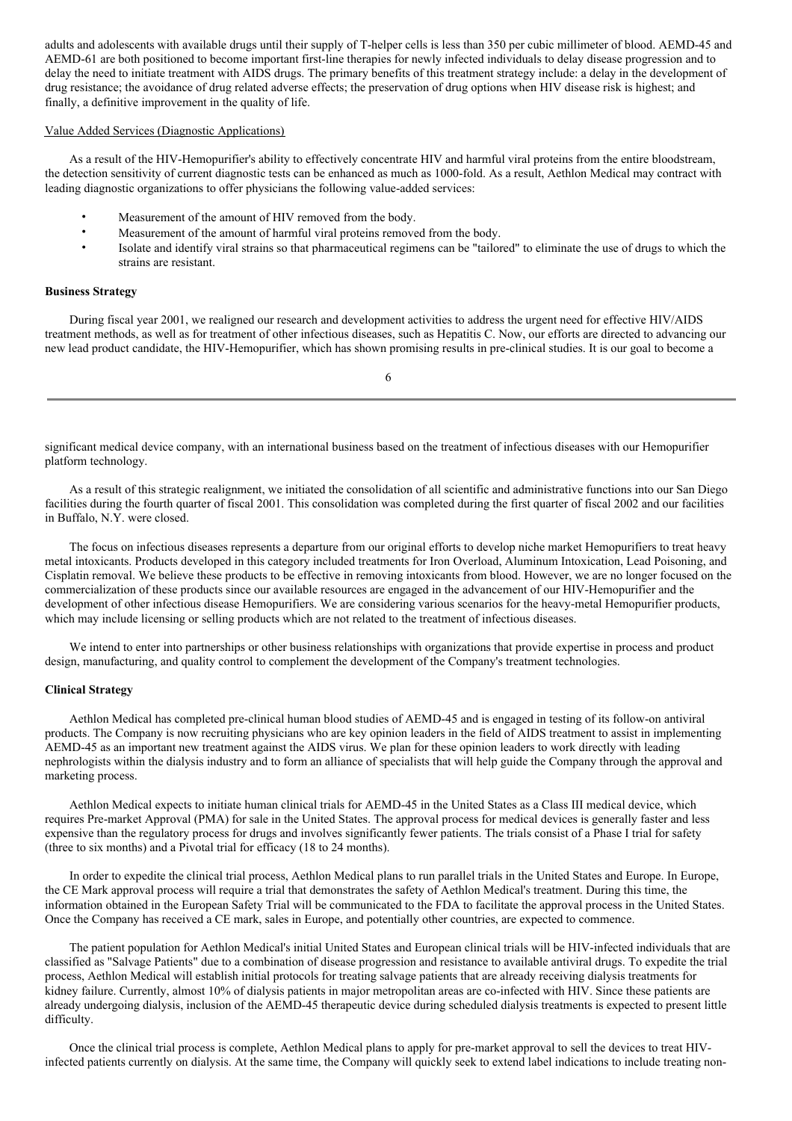adults and adolescents with available drugs until their supply of T-helper cells is less than 350 per cubic millimeter of blood. AEMD-45 and AEMD-61 are both positioned to become important first-line therapies for newly infected individuals to delay disease progression and to delay the need to initiate treatment with AIDS drugs. The primary benefits of this treatment strategy include: a delay in the development of drug resistance; the avoidance of drug related adverse effects; the preservation of drug options when HIV disease risk is highest; and finally, a definitive improvement in the quality of life.

# Value Added Services (Diagnostic Applications)

As a result of the HIV-Hemopurifier's ability to effectively concentrate HIV and harmful viral proteins from the entire bloodstream, the detection sensitivity of current diagnostic tests can be enhanced as much as 1000-fold. As a result, Aethlon Medical may contract with leading diagnostic organizations to offer physicians the following value-added services:

- Measurement of the amount of HIV removed from the body.
- Measurement of the amount of harmful viral proteins removed from the body.
- Isolate and identify viral strains so that pharmaceutical regimens can be "tailored" to eliminate the use of drugs to which the strains are resistant.

#### **Business Strategy**

During fiscal year 2001, we realigned our research and development activities to address the urgent need for effective HIV/AIDS treatment methods, as well as for treatment of other infectious diseases, such as Hepatitis C. Now, our efforts are directed to advancing our new lead product candidate, the HIV-Hemopurifier, which has shown promising results in pre-clinical studies. It is our goal to become a

|        |    | ۰,     |  |
|--------|----|--------|--|
|        | Ξ  |        |  |
| ×<br>× | ۰, | I<br>I |  |

significant medical device company, with an international business based on the treatment of infectious diseases with our Hemopurifier platform technology.

As a result of this strategic realignment, we initiated the consolidation of all scientific and administrative functions into our San Diego facilities during the fourth quarter of fiscal 2001. This consolidation was completed during the first quarter of fiscal 2002 and our facilities in Buffalo, N.Y. were closed.

The focus on infectious diseases represents a departure from our original efforts to develop niche market Hemopurifiers to treat heavy metal intoxicants. Products developed in this category included treatments for Iron Overload, Aluminum Intoxication, Lead Poisoning, and Cisplatin removal. We believe these products to be effective in removing intoxicants from blood. However, we are no longer focused on the commercialization of these products since our available resources are engaged in the advancement of our HIV-Hemopurifier and the development of other infectious disease Hemopurifiers. We are considering various scenarios for the heavy-metal Hemopurifier products, which may include licensing or selling products which are not related to the treatment of infectious diseases.

We intend to enter into partnerships or other business relationships with organizations that provide expertise in process and product design, manufacturing, and quality control to complement the development of the Company's treatment technologies.

# **Clinical Strategy**

Aethlon Medical has completed pre-clinical human blood studies of AEMD-45 and is engaged in testing of its follow-on antiviral products. The Company is now recruiting physicians who are key opinion leaders in the field of AIDS treatment to assist in implementing AEMD-45 as an important new treatment against the AIDS virus. We plan for these opinion leaders to work directly with leading nephrologists within the dialysis industry and to form an alliance of specialists that will help guide the Company through the approval and marketing process.

Aethlon Medical expects to initiate human clinical trials for AEMD-45 in the United States as a Class III medical device, which requires Pre-market Approval (PMA) for sale in the United States. The approval process for medical devices is generally faster and less expensive than the regulatory process for drugs and involves significantly fewer patients. The trials consist of a Phase I trial for safety (three to six months) and a Pivotal trial for efficacy (18 to 24 months).

In order to expedite the clinical trial process, Aethlon Medical plans to run parallel trials in the United States and Europe. In Europe, the CE Mark approval process will require a trial that demonstrates the safety of Aethlon Medical's treatment. During this time, the information obtained in the European Safety Trial will be communicated to the FDA to facilitate the approval process in the United States. Once the Company has received a CE mark, sales in Europe, and potentially other countries, are expected to commence.

The patient population for Aethlon Medical's initial United States and European clinical trials will be HIV-infected individuals that are classified as "Salvage Patients" due to a combination of disease progression and resistance to available antiviral drugs. To expedite the trial process, Aethlon Medical will establish initial protocols for treating salvage patients that are already receiving dialysis treatments for kidney failure. Currently, almost 10% of dialysis patients in major metropolitan areas are co-infected with HIV. Since these patients are already undergoing dialysis, inclusion of the AEMD-45 therapeutic device during scheduled dialysis treatments is expected to present little difficulty.

Once the clinical trial process is complete, Aethlon Medical plans to apply for pre-market approval to sell the devices to treat HIVinfected patients currently on dialysis. At the same time, the Company will quickly seek to extend label indications to include treating non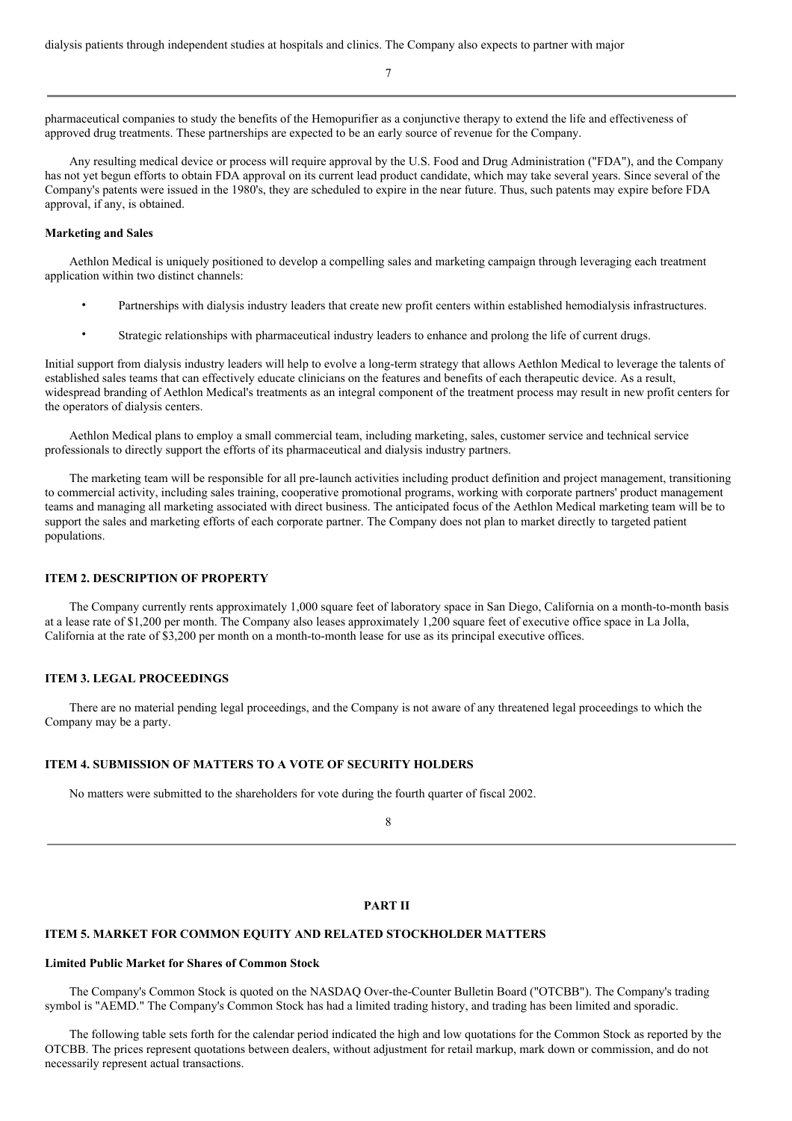7

pharmaceutical companies to study the benefits of the Hemopurifier as a conjunctive therapy to extend the life and effectiveness of approved drug treatments. These partnerships are expected to be an early source of revenue for the Company.

Any resulting medical device or process will require approval by the U.S. Food and Drug Administration ("FDA"), and the Company has not yet begun efforts to obtain FDA approval on its current lead product candidate, which may take several years. Since several of the Company's patents were issued in the 1980's, they are scheduled to expire in the near future. Thus, such patents may expire before FDA approval, if any, is obtained.

#### **Marketing and Sales**

Aethlon Medical is uniquely positioned to develop a compelling sales and marketing campaign through leveraging each treatment application within two distinct channels:

- Partnerships with dialysis industry leaders that create new profit centers within established hemodialysis infrastructures.
- Strategic relationships with pharmaceutical industry leaders to enhance and prolong the life of current drugs.

Initial support from dialysis industry leaders will help to evolve a long-term strategy that allows Aethlon Medical to leverage the talents of established sales teams that can effectively educate clinicians on the features and benefits of each therapeutic device. As a result, widespread branding of Aethlon Medical's treatments as an integral component of the treatment process may result in new profit centers for the operators of dialysis centers.

Aethlon Medical plans to employ a small commercial team, including marketing, sales, customer service and technical service professionals to directly support the efforts of its pharmaceutical and dialysis industry partners.

The marketing team will be responsible for all pre-launch activities including product definition and project management, transitioning to commercial activity, including sales training, cooperative promotional programs, working with corporate partners' product management teams and managing all marketing associated with direct business. The anticipated focus of the Aethlon Medical marketing team will be to support the sales and marketing efforts of each corporate partner. The Company does not plan to market directly to targeted patient populations.

## **ITEM 2. DESCRIPTION OF PROPERTY**

The Company currently rents approximately 1,000 square feet of laboratory space in San Diego, California on a month-to-month basis at a lease rate of \$1,200 per month. The Company also leases approximately 1,200 square feet of executive office space in La Jolla, California at the rate of \$3,200 per month on a month-to-month lease for use as its principal executive offices.

# **ITEM 3. LEGAL PROCEEDINGS**

There are no material pending legal proceedings, and the Company is not aware of any threatened legal proceedings to which the Company may be a party.

# **ITEM 4. SUBMISSION OF MATTERS TO A VOTE OF SECURITY HOLDERS**

No matters were submitted to the shareholders for vote during the fourth quarter of fiscal 2002.

8

# **PART II**

# **ITEM 5. MARKET FOR COMMON EQUITY AND RELATED STOCKHOLDER MATTERS**

#### **Limited Public Market for Shares of Common Stock**

The Company's Common Stock is quoted on the NASDAQ Over-the-Counter Bulletin Board ("OTCBB"). The Company's trading symbol is "AEMD." The Company's Common Stock has had a limited trading history, and trading has been limited and sporadic.

The following table sets forth for the calendar period indicated the high and low quotations for the Common Stock as reported by the OTCBB. The prices represent quotations between dealers, without adjustment for retail markup, mark down or commission, and do not necessarily represent actual transactions.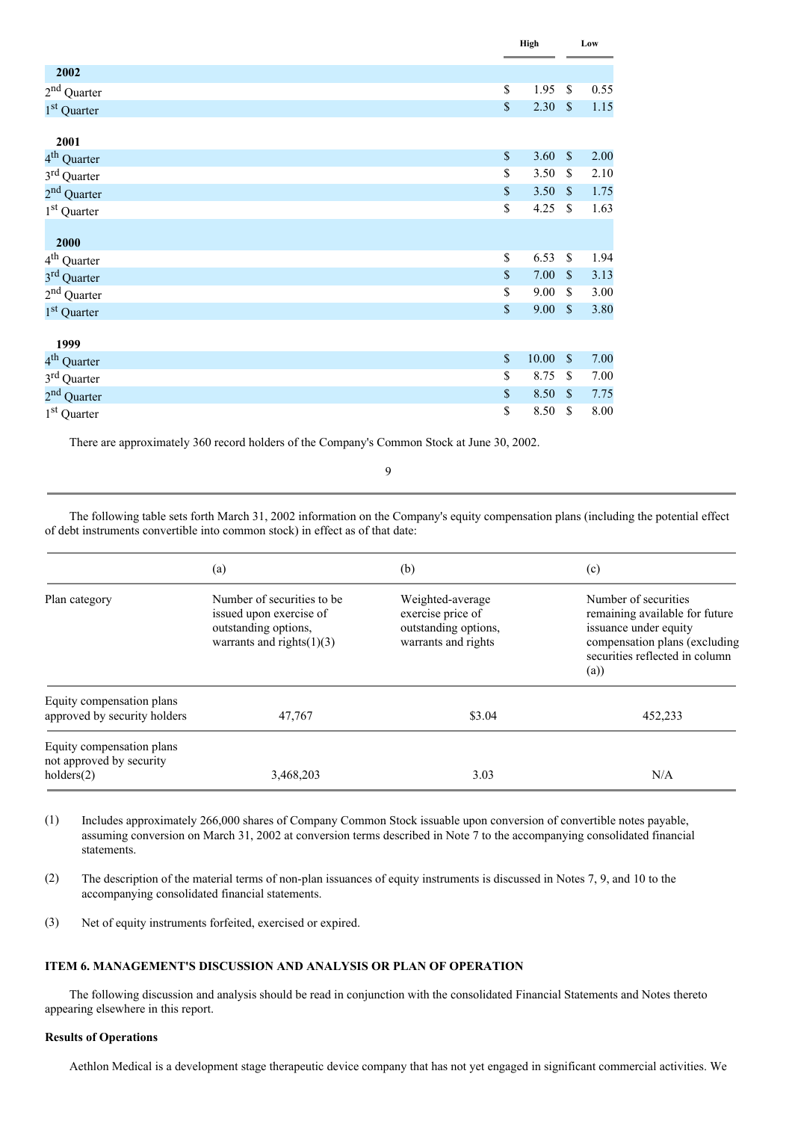|                         |             | High  |                           | Low  |  |
|-------------------------|-------------|-------|---------------------------|------|--|
| 2002                    |             |       |                           |      |  |
| $2^{\rm nd}$ Quarter    | \$          | 1.95  | \$                        | 0.55 |  |
| 1 <sup>st</sup> Quarter | $\mathbb S$ | 2.30  | $\mathbb{S}$              | 1.15 |  |
| 2001                    |             |       |                           |      |  |
| 4 <sup>th</sup> Quarter | \$          | 3.60  | \$                        | 2.00 |  |
| 3 <sup>rd</sup> Quarter | \$          | 3.50  | $\mathbb{S}$              | 2.10 |  |
| 2 <sup>nd</sup> Quarter | \$          | 3.50  | $\mathbb{S}$              | 1.75 |  |
| $1st$ Quarter           | \$          | 4.25  | $\mathbb{S}$              | 1.63 |  |
| 2000                    |             |       |                           |      |  |
| 4 <sup>th</sup> Quarter | \$          | 6.53  | \$                        | 1.94 |  |
| 3 <sup>rd</sup> Quarter | $\mathbb S$ | 7.00  | $\mathbb{S}$              | 3.13 |  |
| $2nd$ Quarter           | \$          | 9.00  | $\mathbb{S}$              | 3.00 |  |
| $1st$ Quarter           | \$          | 9.00  | $\boldsymbol{\mathsf{S}}$ | 3.80 |  |
| 1999                    |             |       |                           |      |  |
| 4 <sup>th</sup> Quarter | \$          | 10.00 | $\mathbf S$               | 7.00 |  |
| 3 <sup>rd</sup> Quarter | \$          | 8.75  | \$                        | 7.00 |  |
| $2nd$ Quarter           | \$          | 8.50  | $\sqrt{\ }$               | 7.75 |  |
| 1 <sup>st</sup> Quarter | \$          | 8.50  | \$                        | 8.00 |  |

There are approximately 360 record holders of the Company's Common Stock at June 30, 2002.

9

The following table sets forth March 31, 2002 information on the Company's equity compensation plans (including the potential effect of debt instruments convertible into common stock) in effect as of that date:

|                                                                           | (a)                                                                                                            | (b)                                                                                  | (c)                                                                                                                                                       |
|---------------------------------------------------------------------------|----------------------------------------------------------------------------------------------------------------|--------------------------------------------------------------------------------------|-----------------------------------------------------------------------------------------------------------------------------------------------------------|
| Plan category                                                             | Number of securities to be.<br>issued upon exercise of<br>outstanding options,<br>warrants and rights $(1)(3)$ | Weighted-average<br>exercise price of<br>outstanding options,<br>warrants and rights | Number of securities<br>remaining available for future<br>issuance under equity<br>compensation plans (excluding<br>securities reflected in column<br>(a) |
| Equity compensation plans<br>approved by security holders                 | 47,767                                                                                                         | \$3.04                                                                               | 452,233                                                                                                                                                   |
| Equity compensation plans<br>not approved by security<br>$h$ olders $(2)$ | 3,468,203                                                                                                      | 3.03                                                                                 | N/A                                                                                                                                                       |

(1) Includes approximately 266,000 shares of Company Common Stock issuable upon conversion of convertible notes payable, assuming conversion on March 31, 2002 at conversion terms described in Note 7 to the accompanying consolidated financial statements.

- (2) The description of the material terms of non-plan issuances of equity instruments is discussed in Notes 7, 9, and 10 to the accompanying consolidated financial statements.
- (3) Net of equity instruments forfeited, exercised or expired.

# **ITEM 6. MANAGEMENT'S DISCUSSION AND ANALYSIS OR PLAN OF OPERATION**

The following discussion and analysis should be read in conjunction with the consolidated Financial Statements and Notes thereto appearing elsewhere in this report.

# **Results of Operations**

Aethlon Medical is a development stage therapeutic device company that has not yet engaged in significant commercial activities. We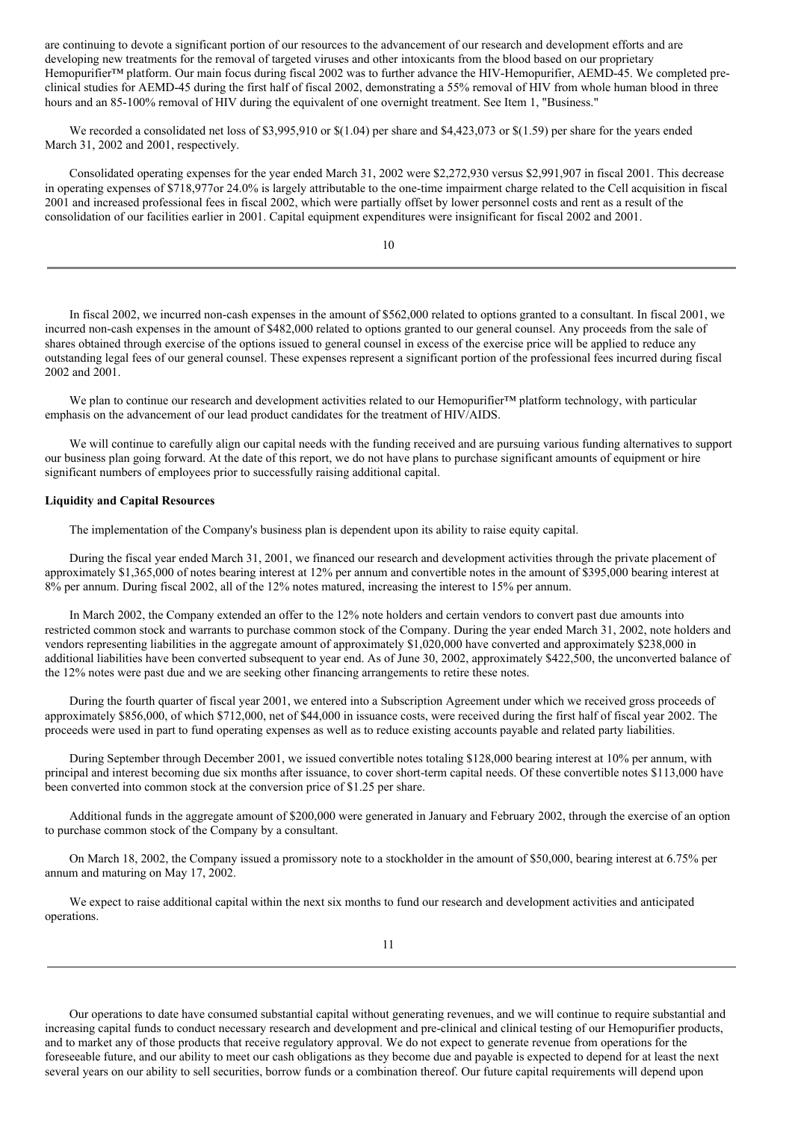are continuing to devote a significant portion of our resources to the advancement of our research and development efforts and are developing new treatments for the removal of targeted viruses and other intoxicants from the blood based on our proprietary Hemopurifier™ platform. Our main focus during fiscal 2002 was to further advance the HIV-Hemopurifier, AEMD-45. We completed preclinical studies for AEMD-45 during the first half of fiscal 2002, demonstrating a 55% removal of HIV from whole human blood in three hours and an 85-100% removal of HIV during the equivalent of one overnight treatment. See Item 1, "Business."

We recorded a consolidated net loss of \$3,995,910 or  $\frac{1}{1.04}$  per share and \$4,423,073 or  $\frac{1}{59}$  per share for the years ended March 31, 2002 and 2001, respectively.

Consolidated operating expenses for the year ended March 31, 2002 were \$2,272,930 versus \$2,991,907 in fiscal 2001. This decrease in operating expenses of \$718,977or 24.0% is largely attributable to the one-time impairment charge related to the Cell acquisition in fiscal 2001 and increased professional fees in fiscal 2002, which were partially offset by lower personnel costs and rent as a result of the consolidation of our facilities earlier in 2001. Capital equipment expenditures were insignificant for fiscal 2002 and 2001.

10

In fiscal 2002, we incurred non-cash expenses in the amount of \$562,000 related to options granted to a consultant. In fiscal 2001, we incurred non-cash expenses in the amount of \$482,000 related to options granted to our general counsel. Any proceeds from the sale of shares obtained through exercise of the options issued to general counsel in excess of the exercise price will be applied to reduce any outstanding legal fees of our general counsel. These expenses represent a significant portion of the professional fees incurred during fiscal 2002 and 2001.

We plan to continue our research and development activities related to our Hemopurifier™ platform technology, with particular emphasis on the advancement of our lead product candidates for the treatment of HIV/AIDS.

We will continue to carefully align our capital needs with the funding received and are pursuing various funding alternatives to support our business plan going forward. At the date of this report, we do not have plans to purchase significant amounts of equipment or hire significant numbers of employees prior to successfully raising additional capital.

# **Liquidity and Capital Resources**

The implementation of the Company's business plan is dependent upon its ability to raise equity capital.

During the fiscal year ended March 31, 2001, we financed our research and development activities through the private placement of approximately \$1,365,000 of notes bearing interest at 12% per annum and convertible notes in the amount of \$395,000 bearing interest at 8% per annum. During fiscal 2002, all of the 12% notes matured, increasing the interest to 15% per annum.

In March 2002, the Company extended an offer to the 12% note holders and certain vendors to convert past due amounts into restricted common stock and warrants to purchase common stock of the Company. During the year ended March 31, 2002, note holders and vendors representing liabilities in the aggregate amount of approximately \$1,020,000 have converted and approximately \$238,000 in additional liabilities have been converted subsequent to year end. As of June 30, 2002, approximately \$422,500, the unconverted balance of the 12% notes were past due and we are seeking other financing arrangements to retire these notes.

During the fourth quarter of fiscal year 2001, we entered into a Subscription Agreement under which we received gross proceeds of approximately \$856,000, of which \$712,000, net of \$44,000 in issuance costs, were received during the first half of fiscal year 2002. The proceeds were used in part to fund operating expenses as well as to reduce existing accounts payable and related party liabilities.

During September through December 2001, we issued convertible notes totaling \$128,000 bearing interest at 10% per annum, with principal and interest becoming due six months after issuance, to cover short-term capital needs. Of these convertible notes \$113,000 have been converted into common stock at the conversion price of \$1.25 per share.

Additional funds in the aggregate amount of \$200,000 were generated in January and February 2002, through the exercise of an option to purchase common stock of the Company by a consultant.

On March 18, 2002, the Company issued a promissory note to a stockholder in the amount of \$50,000, bearing interest at 6.75% per annum and maturing on May 17, 2002.

We expect to raise additional capital within the next six months to fund our research and development activities and anticipated operations.

Our operations to date have consumed substantial capital without generating revenues, and we will continue to require substantial and increasing capital funds to conduct necessary research and development and pre-clinical and clinical testing of our Hemopurifier products, and to market any of those products that receive regulatory approval. We do not expect to generate revenue from operations for the foreseeable future, and our ability to meet our cash obligations as they become due and payable is expected to depend for at least the next several years on our ability to sell securities, borrow funds or a combination thereof. Our future capital requirements will depend upon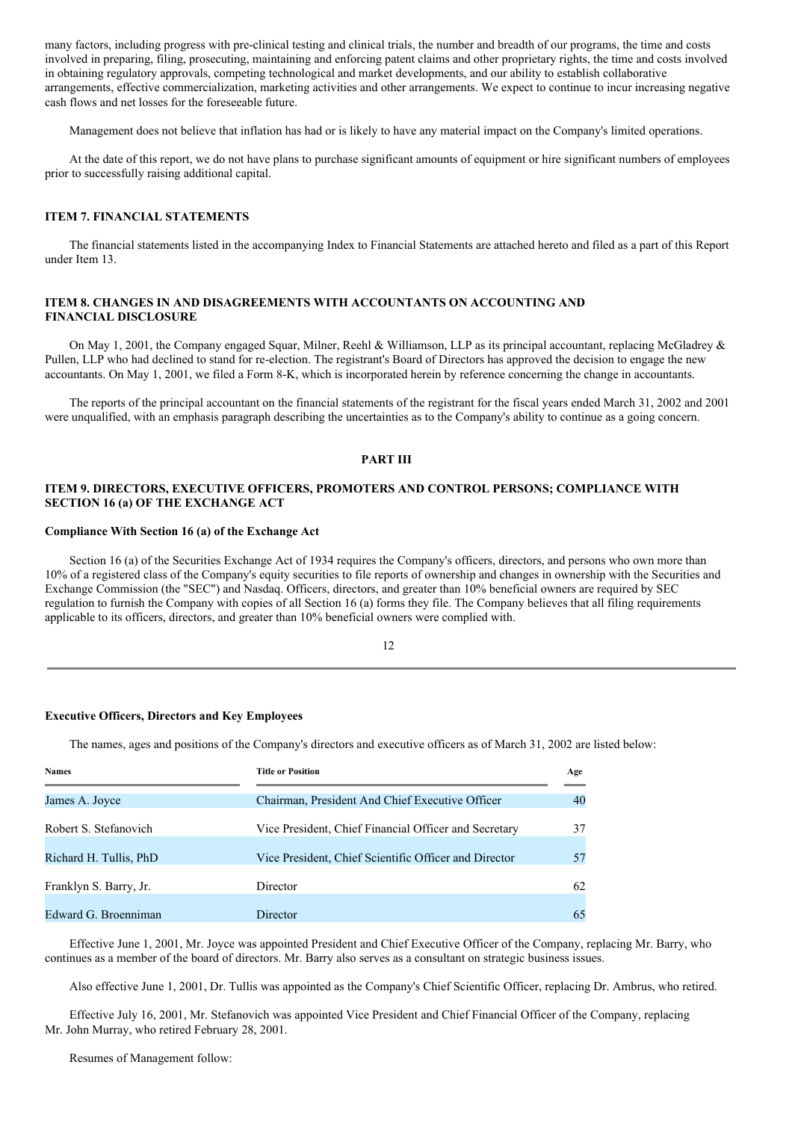many factors, including progress with pre-clinical testing and clinical trials, the number and breadth of our programs, the time and costs involved in preparing, filing, prosecuting, maintaining and enforcing patent claims and other proprietary rights, the time and costs involved in obtaining regulatory approvals, competing technological and market developments, and our ability to establish collaborative arrangements, effective commercialization, marketing activities and other arrangements. We expect to continue to incur increasing negative cash flows and net losses for the foreseeable future.

Management does not believe that inflation has had or is likely to have any material impact on the Company's limited operations.

At the date of this report, we do not have plans to purchase significant amounts of equipment or hire significant numbers of employees prior to successfully raising additional capital.

## **ITEM 7. FINANCIAL STATEMENTS**

The financial statements listed in the accompanying Index to Financial Statements are attached hereto and filed as a part of this Report under Item 13.

# **ITEM 8. CHANGES IN AND DISAGREEMENTS WITH ACCOUNTANTS ON ACCOUNTING AND FINANCIAL DISCLOSURE**

On May 1, 2001, the Company engaged Squar, Milner, Reehl & Williamson, LLP as its principal accountant, replacing McGladrey & Pullen, LLP who had declined to stand for re-election. The registrant's Board of Directors has approved the decision to engage the new accountants. On May 1, 2001, we filed a Form 8-K, which is incorporated herein by reference concerning the change in accountants.

The reports of the principal accountant on the financial statements of the registrant for the fiscal years ended March 31, 2002 and 2001 were unqualified, with an emphasis paragraph describing the uncertainties as to the Company's ability to continue as a going concern.

# **PART III**

# **ITEM 9. DIRECTORS, EXECUTIVE OFFICERS, PROMOTERS AND CONTROL PERSONS; COMPLIANCE WITH SECTION 16 (a) OF THE EXCHANGE ACT**

# **Compliance With Section 16 (a) of the Exchange Act**

Section 16 (a) of the Securities Exchange Act of 1934 requires the Company's officers, directors, and persons who own more than 10% of a registered class of the Company's equity securities to file reports of ownership and changes in ownership with the Securities and Exchange Commission (the "SEC") and Nasdaq. Officers, directors, and greater than 10% beneficial owners are required by SEC regulation to furnish the Company with copies of all Section 16 (a) forms they file. The Company believes that all filing requirements applicable to its officers, directors, and greater than 10% beneficial owners were complied with.

12

# **Executive Officers, Directors and Key Employees**

The names, ages and positions of the Company's directors and executive officers as of March 31, 2002 are listed below:

| <b>Names</b>           | <b>Title or Position</b>                              | Age |
|------------------------|-------------------------------------------------------|-----|
| James A. Joyce         | Chairman, President And Chief Executive Officer       | 40  |
| Robert S. Stefanovich  | Vice President, Chief Financial Officer and Secretary | 37  |
| Richard H. Tullis, PhD | Vice President, Chief Scientific Officer and Director | 57  |
| Franklyn S. Barry, Jr. | Director                                              | 62  |
| Edward G. Broenniman   | Director                                              | 65  |

Effective June 1, 2001, Mr. Joyce was appointed President and Chief Executive Officer of the Company, replacing Mr. Barry, who continues as a member of the board of directors. Mr. Barry also serves as a consultant on strategic business issues.

Also effective June 1, 2001, Dr. Tullis was appointed as the Company's Chief Scientific Officer, replacing Dr. Ambrus, who retired.

Effective July 16, 2001, Mr. Stefanovich was appointed Vice President and Chief Financial Officer of the Company, replacing Mr. John Murray, who retired February 28, 2001.

Resumes of Management follow: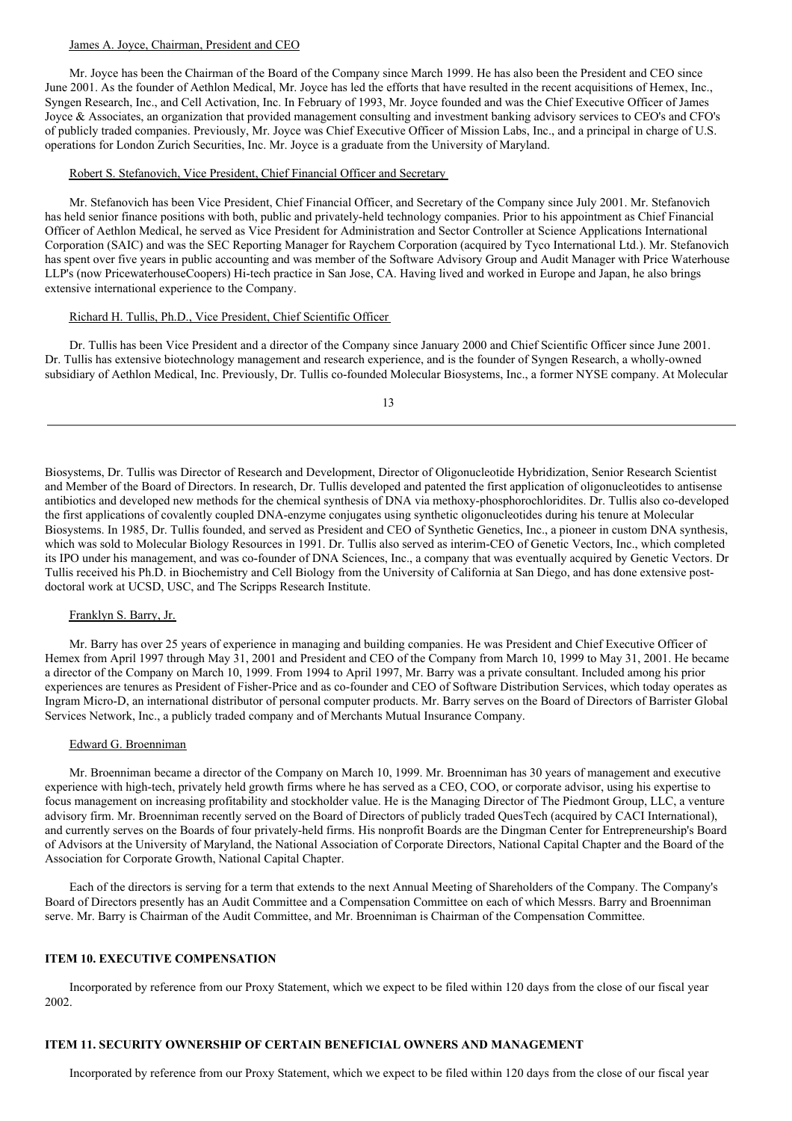# James A. Joyce, Chairman, President and CEO

Mr. Joyce has been the Chairman of the Board of the Company since March 1999. He has also been the President and CEO since June 2001. As the founder of Aethlon Medical, Mr. Joyce has led the efforts that have resulted in the recent acquisitions of Hemex, Inc., Syngen Research, Inc., and Cell Activation, Inc. In February of 1993, Mr. Joyce founded and was the Chief Executive Officer of James Joyce & Associates, an organization that provided management consulting and investment banking advisory services to CEO's and CFO's of publicly traded companies. Previously, Mr. Joyce was Chief Executive Officer of Mission Labs, Inc., and a principal in charge of U.S. operations for London Zurich Securities, Inc. Mr. Joyce is a graduate from the University of Maryland.

# Robert S. Stefanovich, Vice President, Chief Financial Officer and Secretary

Mr. Stefanovich has been Vice President, Chief Financial Officer, and Secretary of the Company since July 2001. Mr. Stefanovich has held senior finance positions with both, public and privately-held technology companies. Prior to his appointment as Chief Financial Officer of Aethlon Medical, he served as Vice President for Administration and Sector Controller at Science Applications International Corporation (SAIC) and was the SEC Reporting Manager for Raychem Corporation (acquired by Tyco International Ltd.). Mr. Stefanovich has spent over five years in public accounting and was member of the Software Advisory Group and Audit Manager with Price Waterhouse LLP's (now PricewaterhouseCoopers) Hi-tech practice in San Jose, CA. Having lived and worked in Europe and Japan, he also brings extensive international experience to the Company.

## Richard H. Tullis, Ph.D., Vice President, Chief Scientific Officer

Dr. Tullis has been Vice President and a director of the Company since January 2000 and Chief Scientific Officer since June 2001. Dr. Tullis has extensive biotechnology management and research experience, and is the founder of Syngen Research, a wholly-owned subsidiary of Aethlon Medical, Inc. Previously, Dr. Tullis co-founded Molecular Biosystems, Inc., a former NYSE company. At Molecular

13

Biosystems, Dr. Tullis was Director of Research and Development, Director of Oligonucleotide Hybridization, Senior Research Scientist and Member of the Board of Directors. In research, Dr. Tullis developed and patented the first application of oligonucleotides to antisense antibiotics and developed new methods for the chemical synthesis of DNA via methoxy-phosphorochloridites. Dr. Tullis also co-developed the first applications of covalently coupled DNA-enzyme conjugates using synthetic oligonucleotides during his tenure at Molecular Biosystems. In 1985, Dr. Tullis founded, and served as President and CEO of Synthetic Genetics, Inc., a pioneer in custom DNA synthesis, which was sold to Molecular Biology Resources in 1991. Dr. Tullis also served as interim-CEO of Genetic Vectors, Inc., which completed its IPO under his management, and was co-founder of DNA Sciences, Inc., a company that was eventually acquired by Genetic Vectors. Dr Tullis received his Ph.D. in Biochemistry and Cell Biology from the University of California at San Diego, and has done extensive postdoctoral work at UCSD, USC, and The Scripps Research Institute.

# Franklyn S. Barry, Jr.

Mr. Barry has over 25 years of experience in managing and building companies. He was President and Chief Executive Officer of Hemex from April 1997 through May 31, 2001 and President and CEO of the Company from March 10, 1999 to May 31, 2001. He became a director of the Company on March 10, 1999. From 1994 to April 1997, Mr. Barry was a private consultant. Included among his prior experiences are tenures as President of Fisher-Price and as co-founder and CEO of Software Distribution Services, which today operates as Ingram Micro-D, an international distributor of personal computer products. Mr. Barry serves on the Board of Directors of Barrister Global Services Network, Inc., a publicly traded company and of Merchants Mutual Insurance Company.

## Edward G. Broenniman

Mr. Broenniman became a director of the Company on March 10, 1999. Mr. Broenniman has 30 years of management and executive experience with high-tech, privately held growth firms where he has served as a CEO, COO, or corporate advisor, using his expertise to focus management on increasing profitability and stockholder value. He is the Managing Director of The Piedmont Group, LLC, a venture advisory firm. Mr. Broenniman recently served on the Board of Directors of publicly traded QuesTech (acquired by CACI International), and currently serves on the Boards of four privately-held firms. His nonprofit Boards are the Dingman Center for Entrepreneurship's Board of Advisors at the University of Maryland, the National Association of Corporate Directors, National Capital Chapter and the Board of the Association for Corporate Growth, National Capital Chapter.

Each of the directors is serving for a term that extends to the next Annual Meeting of Shareholders of the Company. The Company's Board of Directors presently has an Audit Committee and a Compensation Committee on each of which Messrs. Barry and Broenniman serve. Mr. Barry is Chairman of the Audit Committee, and Mr. Broenniman is Chairman of the Compensation Committee.

# **ITEM 10. EXECUTIVE COMPENSATION**

Incorporated by reference from our Proxy Statement, which we expect to be filed within 120 days from the close of our fiscal year 2002.

# **ITEM 11. SECURITY OWNERSHIP OF CERTAIN BENEFICIAL OWNERS AND MANAGEMENT**

Incorporated by reference from our Proxy Statement, which we expect to be filed within 120 days from the close of our fiscal year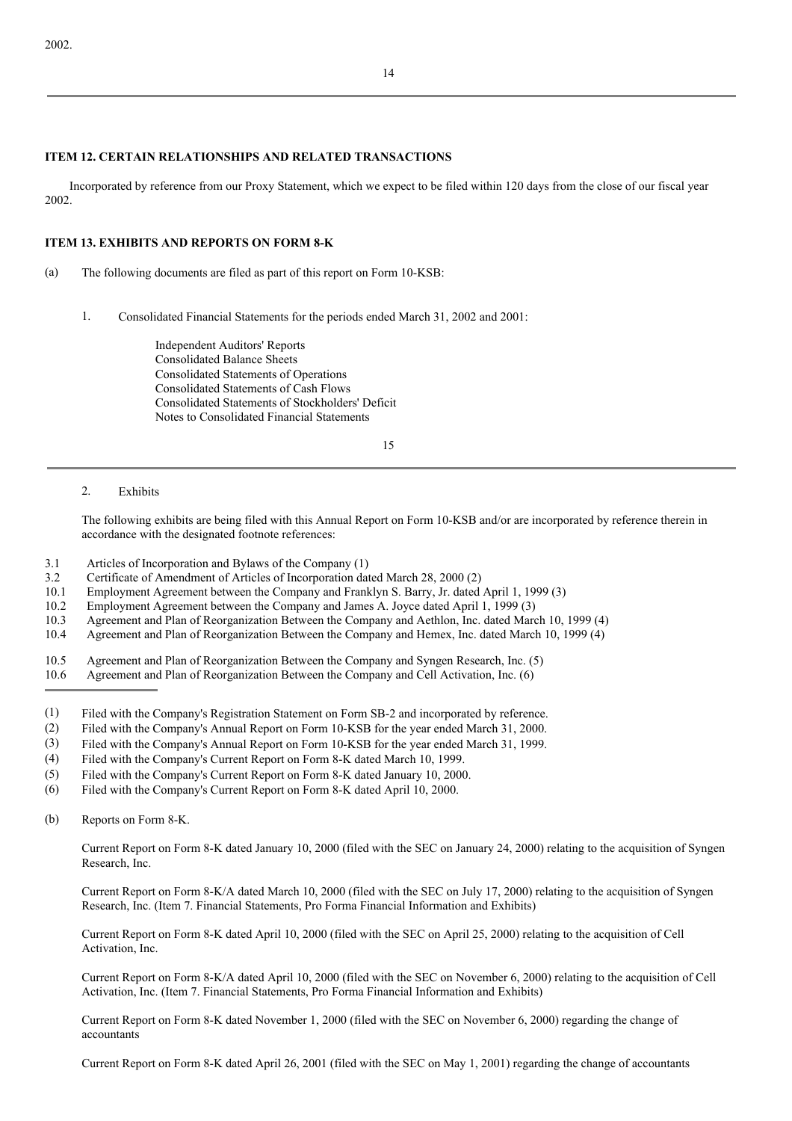# **ITEM 12. CERTAIN RELATIONSHIPS AND RELATED TRANSACTIONS**

Incorporated by reference from our Proxy Statement, which we expect to be filed within 120 days from the close of our fiscal year 2002.

# **ITEM 13. EXHIBITS AND REPORTS ON FORM 8-K**

- (a) The following documents are filed as part of this report on Form 10-KSB:
	- 1. Consolidated Financial Statements for the periods ended March 31, 2002 and 2001:

Independent Auditors' Reports Consolidated Balance Sheets Consolidated Statements of Operations Consolidated Statements of Cash Flows Consolidated Statements of Stockholders' Deficit Notes to Consolidated Financial Statements

15

# 2. Exhibits

The following exhibits are being filed with this Annual Report on Form 10-KSB and/or are incorporated by reference therein in accordance with the designated footnote references:

- 3.1 Articles of Incorporation and Bylaws of the Company (1)
- 3.2 Certificate of Amendment of Articles of Incorporation dated March 28, 2000 (2)
- 10.1 Employment Agreement between the Company and Franklyn S. Barry, Jr. dated April 1, 1999 (3)
- 10.2 Employment Agreement between the Company and James A. Joyce dated April 1, 1999 (3)
- 10.3 Agreement and Plan of Reorganization Between the Company and Aethlon, Inc. dated March 10, 1999 (4)
- 10.4 Agreement and Plan of Reorganization Between the Company and Hemex, Inc. dated March 10, 1999 (4)
- 10.5 Agreement and Plan of Reorganization Between the Company and Syngen Research, Inc. (5)
- 10.6 Agreement and Plan of Reorganization Between the Company and Cell Activation, Inc. (6)
- (1) Filed with the Company's Registration Statement on Form SB-2 and incorporated by reference.
- (2) Filed with the Company's Annual Report on Form 10-KSB for the year ended March 31, 2000.
- (3) Filed with the Company's Annual Report on Form 10-KSB for the year ended March 31, 1999.
- (4) Filed with the Company's Current Report on Form 8-K dated March 10, 1999.
- (5) Filed with the Company's Current Report on Form 8-K dated January 10, 2000.
- (6) Filed with the Company's Current Report on Form 8-K dated April 10, 2000.
- (b) Reports on Form 8-K.

Current Report on Form 8-K dated January 10, 2000 (filed with the SEC on January 24, 2000) relating to the acquisition of Syngen Research, Inc.

Current Report on Form 8-K/A dated March 10, 2000 (filed with the SEC on July 17, 2000) relating to the acquisition of Syngen Research, Inc. (Item 7. Financial Statements, Pro Forma Financial Information and Exhibits)

Current Report on Form 8-K dated April 10, 2000 (filed with the SEC on April 25, 2000) relating to the acquisition of Cell Activation, Inc.

Current Report on Form 8-K/A dated April 10, 2000 (filed with the SEC on November 6, 2000) relating to the acquisition of Cell Activation, Inc. (Item 7. Financial Statements, Pro Forma Financial Information and Exhibits)

Current Report on Form 8-K dated November 1, 2000 (filed with the SEC on November 6, 2000) regarding the change of accountants

Current Report on Form 8-K dated April 26, 2001 (filed with the SEC on May 1, 2001) regarding the change of accountants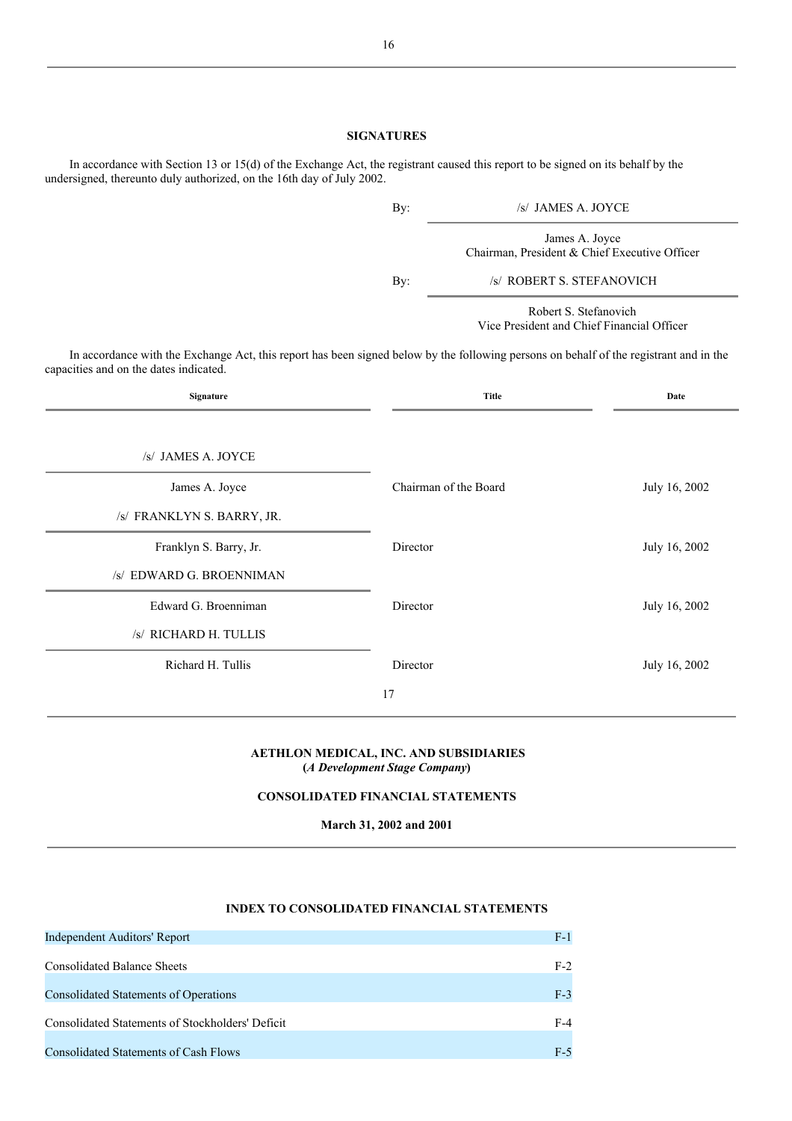# **SIGNATURES**

| INDEX TO CONSOLIDATED FINANCIAL STATEMENTS       |       |
|--------------------------------------------------|-------|
| Independent Auditors' Report                     | $F-1$ |
| <b>Consolidated Balance Sheets</b>               | $F-2$ |
| <b>Consolidated Statements of Operations</b>     | $F-3$ |
| Consolidated Statements of Stockholders' Deficit | $F-4$ |
| Consolidated Statements of Cash Flows            | $F-5$ |

In accordance with Section 13 or 15(d) of the Exchange Act, the registrant caused this report to be signed on its behalf by the undersigned, thereunto duly authorized, on the 16th day of July 2002.

| By: | /s/ JAMES A. JOYCE                                                  |
|-----|---------------------------------------------------------------------|
|     | James A. Joyce<br>Chairman, President & Chief Executive Officer     |
| By: | /s/ ROBERT S. STEFANOVICH                                           |
|     | Robert S. Stefanovich<br>Vice President and Chief Financial Officer |

In accordance with the Exchange Act, this report has been signed below by the following persons on behalf of the registrant and in the capacities and on the dates indicated.

| Signature                  | <b>Title</b>          | Date          |
|----------------------------|-----------------------|---------------|
|                            |                       |               |
| /s/ JAMES A. JOYCE         |                       |               |
| James A. Joyce             | Chairman of the Board | July 16, 2002 |
| /s/ FRANKLYN S. BARRY, JR. |                       |               |
| Franklyn S. Barry, Jr.     | Director              | July 16, 2002 |
| /s/ EDWARD G. BROENNIMAN   |                       |               |
| Edward G. Broenniman       | Director              | July 16, 2002 |
| /s/ RICHARD H. TULLIS      |                       |               |
| Richard H. Tullis          | Director              | July 16, 2002 |
|                            | 17                    |               |

# **AETHLON MEDICAL, INC. AND SUBSIDIARIES (***A Development Stage Company***)**

# **CONSOLIDATED FINANCIAL STATEMENTS**

**March 31, 2002 and 2001**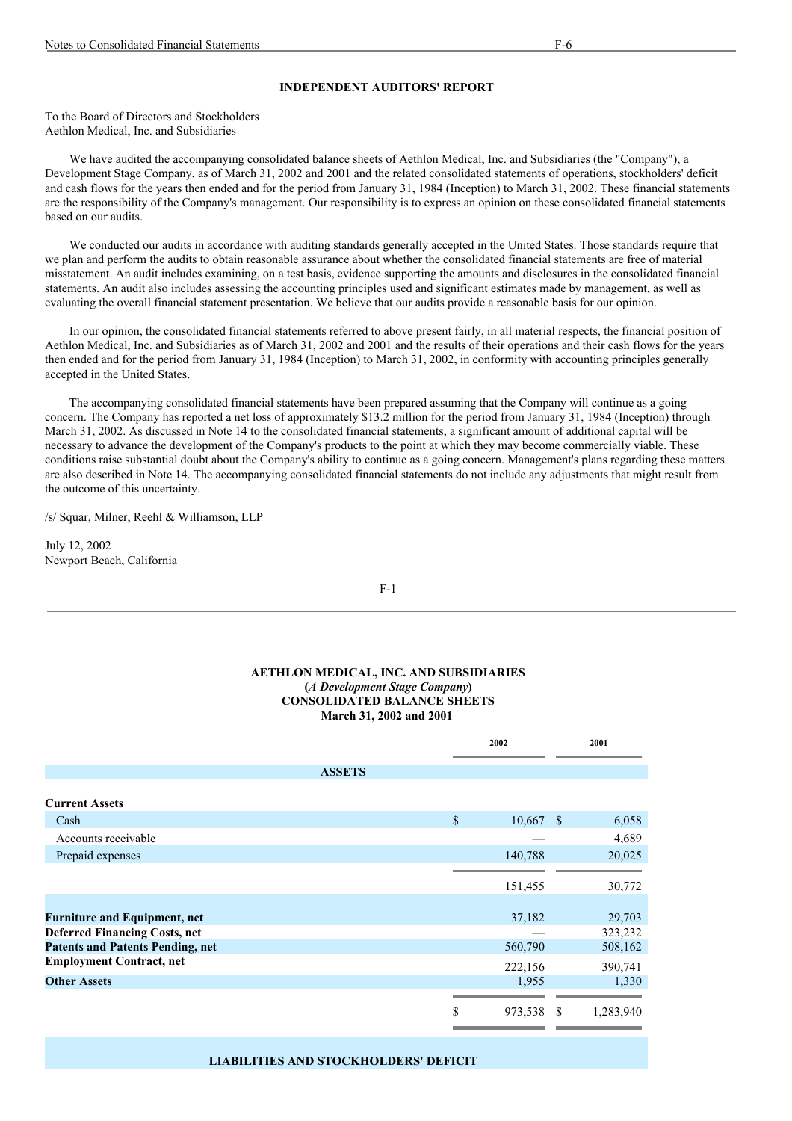# **INDEPENDENT AUDITORS' REPORT**

To the Board of Directors and Stockholders Aethlon Medical, Inc. and Subsidiaries

We have audited the accompanying consolidated balance sheets of Aethlon Medical, Inc. and Subsidiaries (the "Company"), a Development Stage Company, as of March 31, 2002 and 2001 and the related consolidated statements of operations, stockholders' deficit and cash flows for the years then ended and for the period from January 31, 1984 (Inception) to March 31, 2002. These financial statements are the responsibility of the Company's management. Our responsibility is to express an opinion on these consolidated financial statements based on our audits.

We conducted our audits in accordance with auditing standards generally accepted in the United States. Those standards require that we plan and perform the audits to obtain reasonable assurance about whether the consolidated financial statements are free of material misstatement. An audit includes examining, on a test basis, evidence supporting the amounts and disclosures in the consolidated financial statements. An audit also includes assessing the accounting principles used and significant estimates made by management, as well as evaluating the overall financial statement presentation. We believe that our audits provide a reasonable basis for our opinion.

In our opinion, the consolidated financial statements referred to above present fairly, in all material respects, the financial position of Aethlon Medical, Inc. and Subsidiaries as of March 31, 2002 and 2001 and the results of their operations and their cash flows for the years then ended and for the period from January 31, 1984 (Inception) to March 31, 2002, in conformity with accounting principles generally accepted in the United States.

The accompanying consolidated financial statements have been prepared assuming that the Company will continue as a going concern. The Company has reported a net loss of approximately \$13.2 million for the period from January 31, 1984 (Inception) through March 31, 2002. As discussed in Note 14 to the consolidated financial statements, a significant amount of additional capital will be necessary to advance the development of the Company's products to the point at which they may become commercially viable. These conditions raise substantial doubt about the Company's ability to continue as a going concern. Management's plans regarding these matters are also described in Note 14. The accompanying consolidated financial statements do not include any adjustments that might result from the outcome of this uncertainty.

/s/ Squar, Milner, Reehl & Williamson, LLP

July 12, 2002 Newport Beach, California

F-1

# **AETHLON MEDICAL, INC. AND SUBSIDIARIES (***A Development Stage Company***) CONSOLIDATED BALANCE SHEETS March 31, 2002 and 2001**

|                                         | 2002 |             | 2001 |           |
|-----------------------------------------|------|-------------|------|-----------|
| <b>ASSETS</b>                           |      |             |      |           |
| <b>Current Assets</b>                   |      |             |      |           |
|                                         |      |             |      |           |
| Cash                                    | \$   | $10,667$ \$ |      | 6,058     |
| Accounts receivable                     |      |             |      | 4,689     |
| Prepaid expenses                        |      | 140,788     |      | 20,025    |
|                                         |      |             |      |           |
|                                         |      | 151,455     |      | 30,772    |
|                                         |      |             |      |           |
| <b>Furniture and Equipment, net</b>     |      | 37,182      |      | 29,703    |
| <b>Deferred Financing Costs, net</b>    |      |             |      | 323,232   |
| <b>Patents and Patents Pending, net</b> |      | 560,790     |      | 508,162   |
| <b>Employment Contract, net</b>         |      | 222,156     |      | 390,741   |
| <b>Other Assets</b>                     |      | 1,955       |      | 1,330     |
|                                         |      |             |      |           |
|                                         | \$   | 973,538     | S    | 1,283,940 |

# **LIABILITIES AND STOCKHOLDERS' DEFICIT**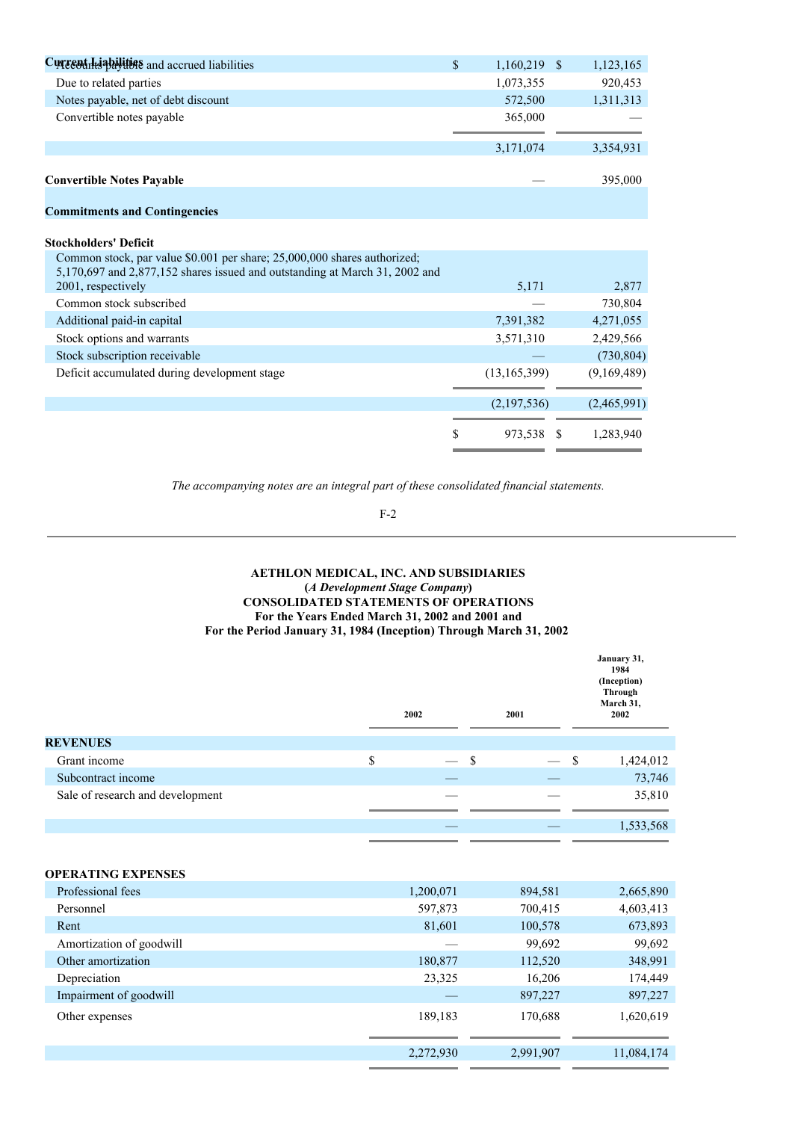| Currentilliabilities and accrued liabilities                                                                                                            | \$<br>1,160,219 \$ |    | 1,123,165   |
|---------------------------------------------------------------------------------------------------------------------------------------------------------|--------------------|----|-------------|
| Due to related parties                                                                                                                                  | 1,073,355          |    | 920,453     |
| Notes payable, net of debt discount                                                                                                                     | 572,500            |    | 1,311,313   |
| Convertible notes payable                                                                                                                               | 365,000            |    |             |
|                                                                                                                                                         | 3,171,074          |    | 3,354,931   |
| <b>Convertible Notes Payable</b>                                                                                                                        |                    |    | 395,000     |
| <b>Commitments and Contingencies</b>                                                                                                                    |                    |    |             |
| <b>Stockholders' Deficit</b>                                                                                                                            |                    |    |             |
| Common stock, par value \$0.001 per share; 25,000,000 shares authorized;<br>5,170,697 and 2,877,152 shares issued and outstanding at March 31, 2002 and |                    |    |             |
| 2001, respectively                                                                                                                                      | 5,171              |    | 2,877       |
| Common stock subscribed                                                                                                                                 |                    |    | 730,804     |
| Additional paid-in capital                                                                                                                              | 7,391,382          |    | 4,271,055   |
| Stock options and warrants                                                                                                                              | 3,571,310          |    | 2,429,566   |
| Stock subscription receivable                                                                                                                           |                    |    | (730, 804)  |
| Deficit accumulated during development stage                                                                                                            | (13, 165, 399)     |    | (9,169,489) |
|                                                                                                                                                         | (2,197,536)        |    | (2,465,991) |
|                                                                                                                                                         | \$<br>973,538      | -S | 1.283.940   |

F-2

# **AETHLON MEDICAL, INC. AND SUBSIDIARIES (***A Development Stage Company***) CONSOLIDATED STATEMENTS OF OPERATIONS For the Years Ended March 31, 2002 and 2001 and For the Period January 31, 1984 (Inception) Through March 31, 2002**

|                                  | 2002      | 2001      | January 31,<br>1984<br>(Inception)<br>Through<br>March 31,<br>2002 |
|----------------------------------|-----------|-----------|--------------------------------------------------------------------|
| <b>REVENUES</b>                  |           |           |                                                                    |
| Grant income                     | \$        | \$        | \$<br>1,424,012                                                    |
| Subcontract income               |           |           | 73,746                                                             |
| Sale of research and development |           |           | 35,810                                                             |
|                                  |           |           | 1,533,568                                                          |
| <b>OPERATING EXPENSES</b>        |           |           |                                                                    |
| Professional fees                | 1,200,071 | 894,581   | 2,665,890                                                          |
| Personnel                        | 597,873   | 700,415   | 4,603,413                                                          |
| Rent                             | 81,601    | 100,578   | 673,893                                                            |
| Amortization of goodwill         |           | 99,692    | 99,692                                                             |
| Other amortization               | 180,877   | 112,520   | 348,991                                                            |
| Depreciation                     | 23,325    | 16,206    | 174,449                                                            |
| Impairment of goodwill           |           | 897,227   | 897,227                                                            |
| Other expenses                   | 189,183   | 170,688   | 1,620,619                                                          |
|                                  | 2,272,930 | 2,991,907 | 11,084,174                                                         |
|                                  |           |           |                                                                    |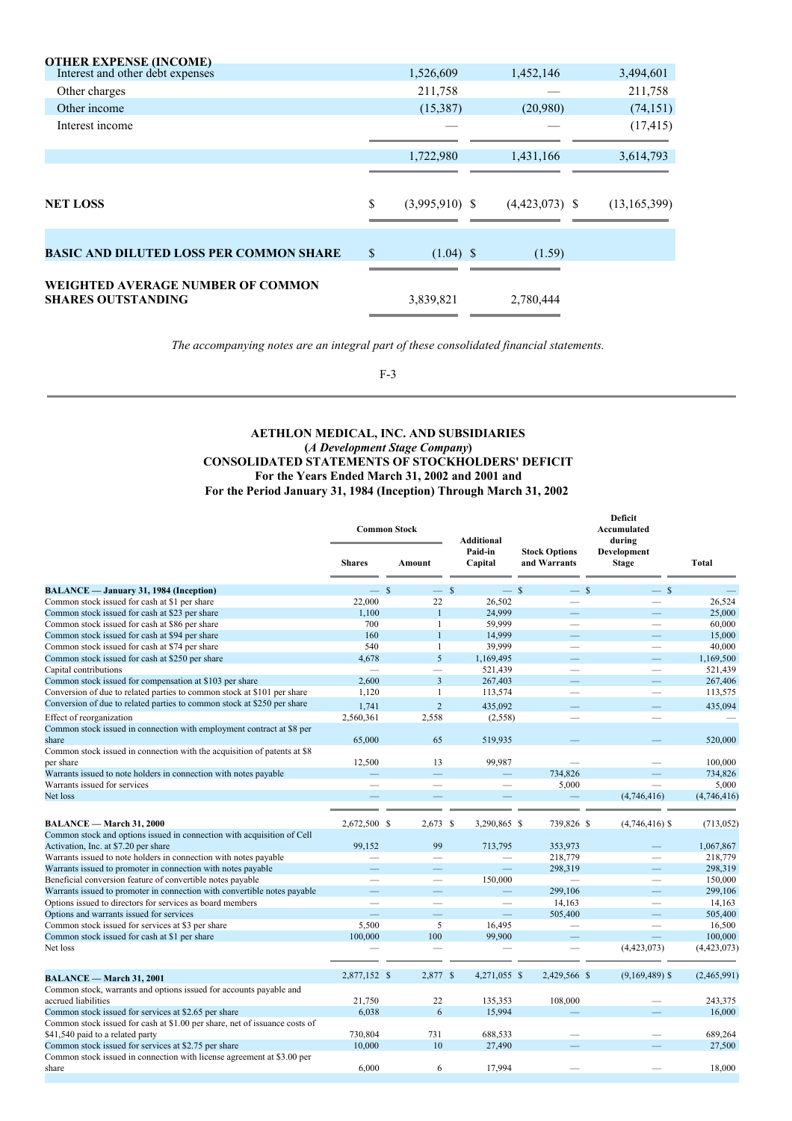| 1,526,609 |                                 |                                     | 3,494,601        |
|-----------|---------------------------------|-------------------------------------|------------------|
| 211,758   |                                 |                                     | 211,758          |
| (15,387)  | (20,980)                        |                                     | (74, 151)        |
|           |                                 |                                     | (17, 415)        |
| 1,722,980 |                                 |                                     | 3,614,793        |
|           |                                 |                                     |                  |
| \$        |                                 |                                     | (13, 165, 399)   |
|           |                                 |                                     |                  |
| \$        | (1.59)                          |                                     |                  |
|           |                                 |                                     |                  |
| 3,839,821 |                                 |                                     |                  |
|           | $(3,995,910)$ \$<br>$(1.04)$ \$ | 1,452,146<br>1,431,166<br>2,780,444 | $(4,423,073)$ \$ |

F-3

# **AETHLON MEDICAL, INC. AND SUBSIDIARIES (***A Development Stage Company***) CONSOLIDATED STATEMENTS OF STOCKHOLDERS' DEFICIT For the Years Ended March 31, 2002 and 2001 and For the Period January 31, 1984 (Inception) Through March 31, 2002**

|                                                                                           | <b>Common Stock</b>      |                          | Additional               |                                      | Deficit<br>Accumulated<br>during |             |
|-------------------------------------------------------------------------------------------|--------------------------|--------------------------|--------------------------|--------------------------------------|----------------------------------|-------------|
|                                                                                           | <b>Shares</b>            | Amount                   | Paid-in<br>Capital       | <b>Stock Options</b><br>and Warrants | Development<br><b>Stage</b>      | Total       |
| <b>BALANCE</b> — January 31, 1984 (Inception)                                             | $\equiv$                 | $\mathcal{S}$<br>$-$ \$  | $-$ \$                   | $-$ \$                               | $-$ \$                           |             |
| Common stock issued for cash at \$1 per share                                             | 22,000                   | 22                       | 26.502                   |                                      |                                  | 26.524      |
| Common stock issued for cash at \$23 per share                                            | 1,100                    | $\mathbf{1}$             | 24,999                   |                                      |                                  | 25,000      |
| Common stock issued for cash at \$86 per share                                            | 700                      | $\mathbf{1}$             | 59.999                   | $\overline{\phantom{0}}$             | $\overline{\phantom{0}}$         | 60,000      |
| Common stock issued for cash at \$94 per share                                            | 160                      | $\mathbf{1}$             | 14,999                   |                                      |                                  | 15,000      |
| Common stock issued for cash at \$74 per share                                            | 540                      | $\mathbf{1}$             | 39.999                   |                                      |                                  | 40,000      |
| Common stock issued for cash at \$250 per share                                           | 4.678                    | 5                        | 1,169,495                |                                      |                                  | 1,169,500   |
| Capital contributions                                                                     | $\overline{\phantom{a}}$ |                          | 521,439                  | $\overline{\phantom{0}}$             | $\overline{\phantom{a}}$         | 521,439     |
| Common stock issued for compensation at \$103 per share                                   | 2,600                    | 3                        | 267,403                  |                                      | $\overline{\phantom{0}}$         | 267,406     |
| Conversion of due to related parties to common stock at \$101 per share                   | 1,120                    | $\mathbf{1}$             | 113,574                  |                                      | $\overline{\phantom{0}}$         | 113,575     |
| Conversion of due to related parties to common stock at \$250 per share                   | 1,741                    | $\overline{2}$           | 435,092                  |                                      |                                  | 435,094     |
| Effect of reorganization                                                                  | 2.560.361                | 2,558                    |                          |                                      |                                  |             |
|                                                                                           |                          |                          | (2, 558)                 |                                      |                                  |             |
| Common stock issued in connection with employment contract at \$8 per<br>share            | 65,000                   | 65                       | 519,935                  |                                      |                                  | 520,000     |
| Common stock issued in connection with the acquisition of patents at \$8                  |                          |                          |                          |                                      |                                  |             |
| per share                                                                                 | 12,500                   | 13                       | 99,987                   |                                      |                                  | 100,000     |
| Warrants issued to note holders in connection with notes payable                          |                          |                          |                          | 734,826                              |                                  | 734,826     |
| Warrants issued for services                                                              | $\overline{\phantom{a}}$ | $\overline{\phantom{a}}$ |                          | 5,000                                |                                  | 5,000       |
| Net loss                                                                                  |                          |                          |                          |                                      | (4,746,416)                      | (4,746,416) |
|                                                                                           |                          |                          |                          |                                      |                                  |             |
| <b>BALANCE</b> - March 31, 2000                                                           | 2.672.500 \$             | $2,673$ \$               | 3.290.865 \$             | 739,826 \$                           | $(4,746,416)$ \$                 | (713, 052)  |
| Common stock and options issued in connection with acquisition of Cell                    |                          |                          |                          |                                      |                                  |             |
| Activation, Inc. at \$7.20 per share                                                      | 99.152                   | 99                       | 713.795                  | 353,973                              |                                  | 1,067,867   |
| Warrants issued to note holders in connection with notes payable                          |                          | $\sim$                   |                          | 218,779                              |                                  | 218,779     |
| Warrants issued to promoter in connection with notes payable                              |                          |                          |                          | 298.319                              |                                  | 298,319     |
| Beneficial conversion feature of convertible notes payable                                |                          | $\overline{\phantom{0}}$ | 150,000                  | $\overline{\phantom{0}}$             | $\overline{\phantom{0}}$         | 150,000     |
| Warrants issued to promoter in connection with convertible notes payable                  |                          |                          |                          | 299,106                              |                                  | 299,106     |
| Options issued to directors for services as board members                                 |                          | ÷,                       | $\overline{\phantom{a}}$ | 14,163                               | $\overline{\phantom{0}}$         | 14,163      |
| Options and warrants issued for services                                                  |                          | –                        |                          | 505,400                              |                                  | 505,400     |
| Common stock issued for services at \$3 per share                                         | 5.500                    | 5                        | 16,495                   |                                      |                                  | 16,500      |
| Common stock issued for cash at \$1 per share                                             | 100,000                  | 100                      | 99,900                   | $\overline{\phantom{0}}$             | $\equiv$                         | 100,000     |
| Net loss                                                                                  |                          |                          |                          |                                      | (4,423,073)                      | (4,423,073) |
|                                                                                           |                          |                          |                          |                                      |                                  |             |
| <b>BALANCE</b> - March 31, 2001                                                           | 2,877,152 \$             | 2,877 \$                 | 4,271,055 \$             | 2,429,566 \$                         | $(9,169,489)$ \$                 | (2,465,991) |
| Common stock, warrants and options issued for accounts payable and<br>accrued liabilities | 21,750                   | 22                       | 135,353                  | 108,000                              |                                  | 243,375     |
| Common stock issued for services at \$2.65 per share                                      | 6,038                    | 6                        | 15.994                   |                                      |                                  | 16,000      |
| Common stock issued for cash at \$1.00 per share, net of issuance costs of                |                          |                          |                          |                                      |                                  |             |
| \$41,540 paid to a related party                                                          | 730,804                  | 731                      | 688,533                  |                                      |                                  | 689,264     |
| Common stock issued for services at \$2.75 per share                                      | 10,000                   | 10                       | 27,490                   |                                      |                                  | 27,500      |
| Common stock issued in connection with license agreement at \$3.00 per                    |                          |                          |                          |                                      |                                  |             |
| share                                                                                     | 6,000                    | 6                        | 17.994                   |                                      |                                  | 18,000      |
|                                                                                           |                          |                          |                          |                                      |                                  |             |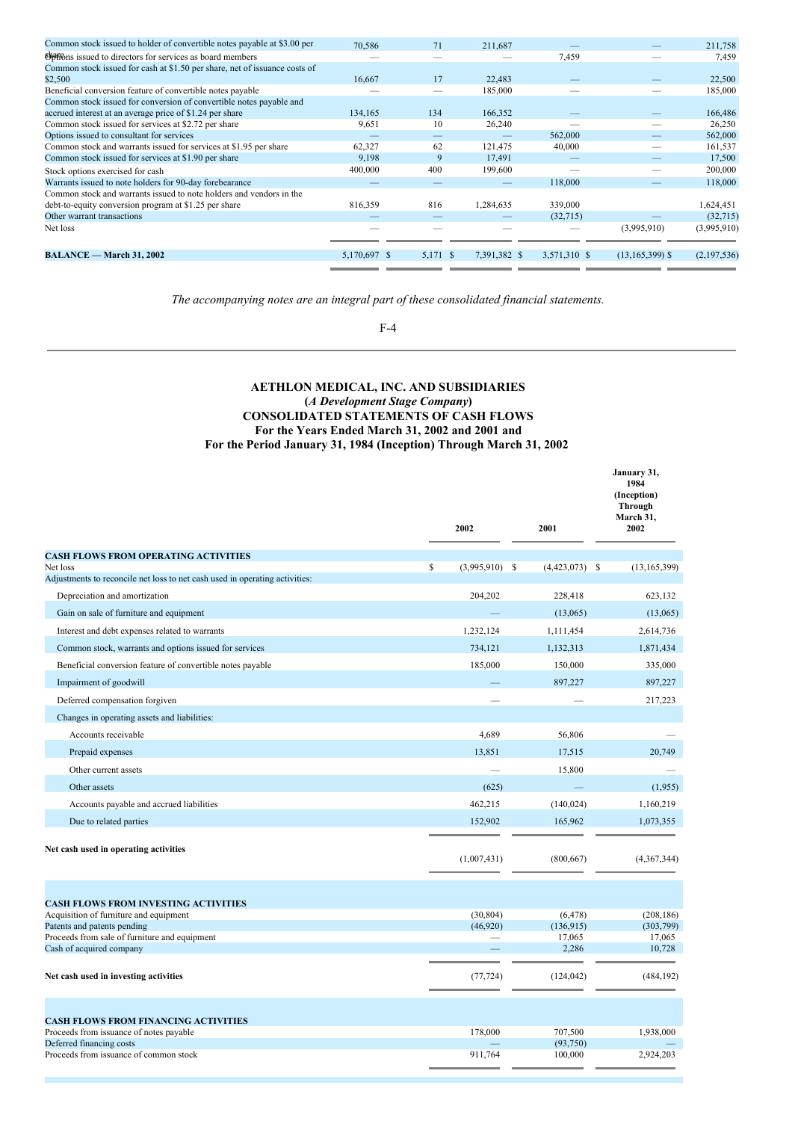| Common stock issued to holder of convertible notes payable at \$3.00 per   | 70,586       | 71       | 211,687      |              |                     | 211,758     |
|----------------------------------------------------------------------------|--------------|----------|--------------|--------------|---------------------|-------------|
| Options issued to directors for services as board members                  |              |          |              | 7,459        |                     | 7,459       |
| Common stock issued for cash at \$1.50 per share, net of issuance costs of |              |          |              |              |                     |             |
| \$2,500                                                                    | 16,667       | 17       | 22,483       |              |                     | 22,500      |
| Beneficial conversion feature of convertible notes payable                 |              |          | 185,000      |              |                     | 185,000     |
| Common stock issued for conversion of convertible notes payable and        |              |          |              |              |                     |             |
| accrued interest at an average price of \$1.24 per share                   | 134,165      | 134      | 166,352      |              |                     | 166,486     |
| Common stock issued for services at \$2.72 per share                       | 9,651        | 10       | 26,240       |              |                     | 26,250      |
| Options issued to consultant for services                                  |              |          |              | 562,000      |                     | 562,000     |
| Common stock and warrants issued for services at \$1.95 per share          | 62,327       | 62       | 121,475      | 40,000       |                     | 161,537     |
| Common stock issued for services at \$1.90 per share                       | 9,198        | 9        | 17,491       |              |                     | 17,500      |
| Stock options exercised for cash                                           | 400,000      | 400      | 199,600      |              |                     | 200,000     |
| Warrants issued to note holders for 90-day forebearance                    |              |          |              | 118,000      |                     | 118,000     |
| Common stock and warrants issued to note holders and vendors in the        |              |          |              |              |                     |             |
| debt-to-equity conversion program at \$1.25 per share                      | 816,359      | 816      | 1,284,635    | 339,000      |                     | 1,624,451   |
| Other warrant transactions                                                 |              |          |              | (32,715)     |                     | (32,715)    |
| Net loss                                                                   |              |          |              |              | (3,995,910)         | (3,995,910) |
|                                                                            |              |          |              |              |                     |             |
| <b>BALANCE</b> - March 31, 2002                                            | 5,170,697 \$ | 5,171 \$ | 7,391,382 \$ | 3,571,310 \$ | $(13, 165, 399)$ \$ | (2,197,536) |
|                                                                            |              |          |              |              |                     |             |

F-4

# **AETHLON MEDICAL, INC. AND SUBSIDIARIES (***A Development Stage Company***) CONSOLIDATED STATEMENTS OF CASH FLOWS For the Years Ended March 31, 2002 and 2001 and For the Period January 31, 1984 (Inception) Through March 31, 2002**

|                                                                             | 2002                   | 2001                | January 31,<br>1984<br>(Inception)<br><b>Through</b><br>March 31,<br>2002 |
|-----------------------------------------------------------------------------|------------------------|---------------------|---------------------------------------------------------------------------|
| <b>CASH FLOWS FROM OPERATING ACTIVITIES</b>                                 |                        |                     |                                                                           |
| Net loss                                                                    | \$<br>$(3,995,910)$ \$ | $(4,423,073)$ \$    | (13, 165, 399)                                                            |
| Adjustments to reconcile net loss to net cash used in operating activities: |                        |                     |                                                                           |
| Depreciation and amortization                                               | 204,202                | 228,418             | 623,132                                                                   |
| Gain on sale of furniture and equipment                                     |                        | (13,065)            | (13,065)                                                                  |
| Interest and debt expenses related to warrants                              | 1,232,124              | 1,111,454           | 2,614,736                                                                 |
| Common stock, warrants and options issued for services                      | 734,121                | 1,132,313           | 1,871,434                                                                 |
| Beneficial conversion feature of convertible notes payable                  | 185,000                | 150,000             | 335,000                                                                   |
| Impairment of goodwill                                                      |                        | 897,227             | 897,227                                                                   |
| Deferred compensation forgiven                                              |                        |                     | 217,223                                                                   |
| Changes in operating assets and liabilities:                                |                        |                     |                                                                           |
| Accounts receivable                                                         | 4.689                  | 56,806              |                                                                           |
| Prepaid expenses                                                            | 13,851                 | 17,515              | 20,749                                                                    |
| Other current assets                                                        |                        | 15,800              |                                                                           |
| Other assets                                                                | (625)                  |                     | (1,955)                                                                   |
| Accounts payable and accrued liabilities                                    | 462,215                | (140, 024)          | 1,160,219                                                                 |
| Due to related parties                                                      | 152,902                | 165,962             | 1,073,355                                                                 |
| Net cash used in operating activities                                       | (1,007,431)            | (800, 667)          | (4,367,344)                                                               |
| <b>CASH FLOWS FROM INVESTING ACTIVITIES</b>                                 | (30, 804)              | (6, 478)            | (208, 186)                                                                |
| Acquisition of furniture and equipment<br>Patents and patents pending       | (46,920)               | (136,915)           | (303, 799)                                                                |
| Proceeds from sale of furniture and equipment                               |                        | 17,065              | 17,065                                                                    |
| Cash of acquired company                                                    |                        | 2,286               | 10,728                                                                    |
| Net cash used in investing activities                                       | (77, 724)              | (124, 042)          | (484, 192)                                                                |
| <b>CASH FLOWS FROM FINANCING ACTIVITIES</b>                                 |                        |                     |                                                                           |
| Proceeds from issuance of notes payable<br>Deferred financing costs         | 178,000                | 707,500<br>(93,750) | 1,938,000                                                                 |
| Proceeds from issuance of common stock                                      | 911,764                | 100,000             | 2,924,203                                                                 |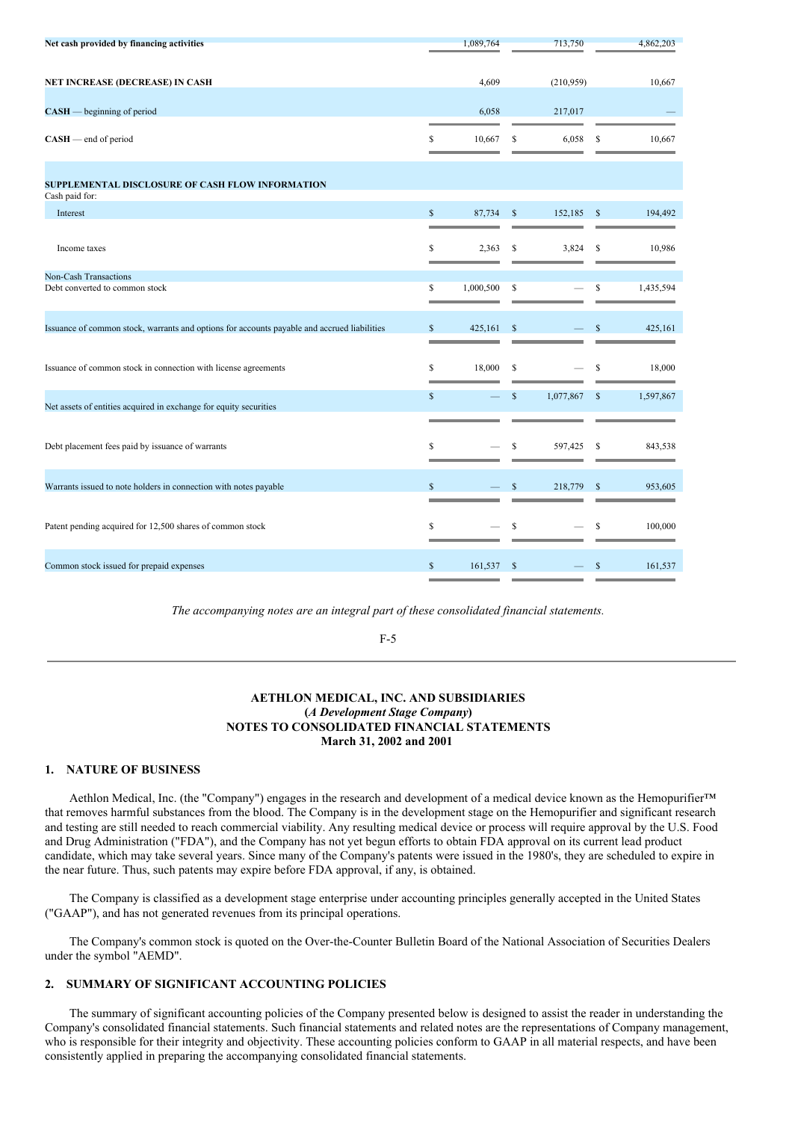| Net cash provided by financing activities                                                   |                    | 1,089,764 |               | 713,750   |               | 4,862,203 |
|---------------------------------------------------------------------------------------------|--------------------|-----------|---------------|-----------|---------------|-----------|
|                                                                                             |                    |           |               |           |               |           |
| NET INCREASE (DECREASE) IN CASH                                                             |                    | 4,609     |               | (210,959) |               | 10,667    |
| $CASH$ - beginning of period                                                                |                    | 6,058     |               | 217,017   |               |           |
| $CASH$ — end of period                                                                      | \$                 | 10,667    | \$            | 6,058     | <sup>\$</sup> | 10,667    |
| SUPPLEMENTAL DISCLOSURE OF CASH FLOW INFORMATION<br>Cash paid for:                          |                    |           |               |           |               |           |
| Interest                                                                                    | $\mathbf{\hat{S}}$ | 87,734    | $\mathcal{S}$ | 152,185   | -S            | 194,492   |
|                                                                                             |                    |           |               |           |               |           |
| Income taxes                                                                                | \$                 | 2,363     | \$            | 3,824     | S             | 10,986    |
| <b>Non-Cash Transactions</b>                                                                |                    |           |               |           |               |           |
| Debt converted to common stock                                                              | \$                 | 1,000,500 | \$            |           | <sup>\$</sup> | 1,435,594 |
| Issuance of common stock, warrants and options for accounts payable and accrued liabilities | \$                 | 425,161   | \$            |           |               | 425,161   |
| Issuance of common stock in connection with license agreements                              | \$                 | 18,000    | \$            |           | S             | 18,000    |
| Net assets of entities acquired in exchange for equity securities                           | $\mathbf S$        |           | \$            | 1,077,867 | <sup>S</sup>  | 1,597,867 |
|                                                                                             |                    |           |               |           |               |           |
| Debt placement fees paid by issuance of warrants                                            | \$                 |           | \$            | 597,425   | S             | 843,538   |
| Warrants issued to note holders in connection with notes payable                            | \$                 |           | $\mathbf S$   | 218,779   | <sup>\$</sup> | 953,605   |
| Patent pending acquired for 12,500 shares of common stock                                   | \$                 |           | \$            |           | S             | 100,000   |
| Common stock issued for prepaid expenses                                                    | \$                 | 161,537   | <sup>\$</sup> |           |               | 161,537   |

F-5

# **AETHLON MEDICAL, INC. AND SUBSIDIARIES (***A Development Stage Company***) NOTES TO CONSOLIDATED FINANCIAL STATEMENTS March 31, 2002 and 2001**

# **1. NATURE OF BUSINESS**

Aethlon Medical, Inc. (the "Company") engages in the research and development of a medical device known as the Hemopurifier™ that removes harmful substances from the blood. The Company is in the development stage on the Hemopurifier and significant research and testing are still needed to reach commercial viability. Any resulting medical device or process will require approval by the U.S. Food and Drug Administration ("FDA"), and the Company has not yet begun efforts to obtain FDA approval on its current lead product candidate, which may take several years. Since many of the Company's patents were issued in the 1980's, they are scheduled to expire in the near future. Thus, such patents may expire before FDA approval, if any, is obtained.

The Company is classified as a development stage enterprise under accounting principles generally accepted in the United States ("GAAP"), and has not generated revenues from its principal operations.

The Company's common stock is quoted on the Over-the-Counter Bulletin Board of the National Association of Securities Dealers under the symbol "AEMD".

# **2. SUMMARY OF SIGNIFICANT ACCOUNTING POLICIES**

The summary of significant accounting policies of the Company presented below is designed to assist the reader in understanding the Company's consolidated financial statements. Such financial statements and related notes are the representations of Company management, who is responsible for their integrity and objectivity. These accounting policies conform to GAAP in all material respects, and have been consistently applied in preparing the accompanying consolidated financial statements.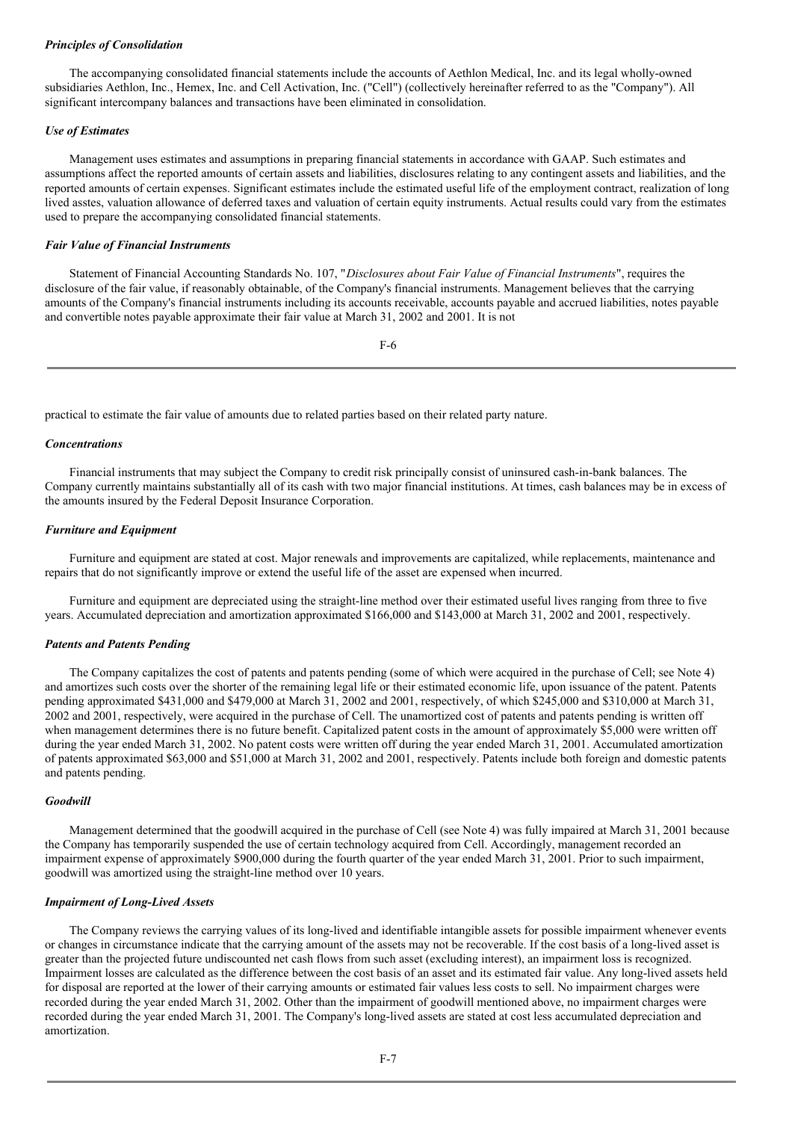## *Principles of Consolidation*

The accompanying consolidated financial statements include the accounts of Aethlon Medical, Inc. and its legal wholly-owned subsidiaries Aethlon, Inc., Hemex, Inc. and Cell Activation, Inc. ("Cell") (collectively hereinafter referred to as the "Company"). All significant intercompany balances and transactions have been eliminated in consolidation.

# *Use of Estimates*

Management uses estimates and assumptions in preparing financial statements in accordance with GAAP. Such estimates and assumptions affect the reported amounts of certain assets and liabilities, disclosures relating to any contingent assets and liabilities, and the reported amounts of certain expenses. Significant estimates include the estimated useful life of the employment contract, realization of long lived asstes, valuation allowance of deferred taxes and valuation of certain equity instruments. Actual results could vary from the estimates used to prepare the accompanying consolidated financial statements.

#### *Fair Value of Financial Instruments*

Statement of Financial Accounting Standards No. 107, "*Disclosures about Fair Value of Financial Instruments*", requires the disclosure of the fair value, if reasonably obtainable, of the Company's financial instruments. Management believes that the carrying amounts of the Company's financial instruments including its accounts receivable, accounts payable and accrued liabilities, notes payable and convertible notes payable approximate their fair value at March 31, 2002 and 2001. It is not

F-6

practical to estimate the fair value of amounts due to related parties based on their related party nature.

#### *Concentrations*

Financial instruments that may subject the Company to credit risk principally consist of uninsured cash-in-bank balances. The Company currently maintains substantially all of its cash with two major financial institutions. At times, cash balances may be in excess of the amounts insured by the Federal Deposit Insurance Corporation.

# *Furniture and Equipment*

Furniture and equipment are stated at cost. Major renewals and improvements are capitalized, while replacements, maintenance and repairs that do not significantly improve or extend the useful life of the asset are expensed when incurred.

Furniture and equipment are depreciated using the straight-line method over their estimated useful lives ranging from three to five years. Accumulated depreciation and amortization approximated \$166,000 and \$143,000 at March 31, 2002 and 2001, respectively.

### *Patents and Patents Pending*

The Company capitalizes the cost of patents and patents pending (some of which were acquired in the purchase of Cell; see Note 4) and amortizes such costs over the shorter of the remaining legal life or their estimated economic life, upon issuance of the patent. Patents pending approximated \$431,000 and \$479,000 at March 31, 2002 and 2001, respectively, of which \$245,000 and \$310,000 at March 31, 2002 and 2001, respectively, were acquired in the purchase of Cell. The unamortized cost of patents and patents pending is written off when management determines there is no future benefit. Capitalized patent costs in the amount of approximately \$5,000 were written off during the year ended March 31, 2002. No patent costs were written off during the year ended March 31, 2001. Accumulated amortization of patents approximated \$63,000 and \$51,000 at March 31, 2002 and 2001, respectively. Patents include both foreign and domestic patents and patents pending.

# *Goodwill*

Management determined that the goodwill acquired in the purchase of Cell (see Note 4) was fully impaired at March 31, 2001 because the Company has temporarily suspended the use of certain technology acquired from Cell. Accordingly, management recorded an impairment expense of approximately \$900,000 during the fourth quarter of the year ended March 31, 2001. Prior to such impairment, goodwill was amortized using the straight-line method over 10 years.

# *Impairment of Long-Lived Assets*

The Company reviews the carrying values of its long-lived and identifiable intangible assets for possible impairment whenever events or changes in circumstance indicate that the carrying amount of the assets may not be recoverable. If the cost basis of a long-lived asset is greater than the projected future undiscounted net cash flows from such asset (excluding interest), an impairment loss is recognized. Impairment losses are calculated as the difference between the cost basis of an asset and its estimated fair value. Any long-lived assets held for disposal are reported at the lower of their carrying amounts or estimated fair values less costs to sell. No impairment charges were recorded during the year ended March 31, 2002. Other than the impairment of goodwill mentioned above, no impairment charges were recorded during the year ended March 31, 2001. The Company's long-lived assets are stated at cost less accumulated depreciation and amortization.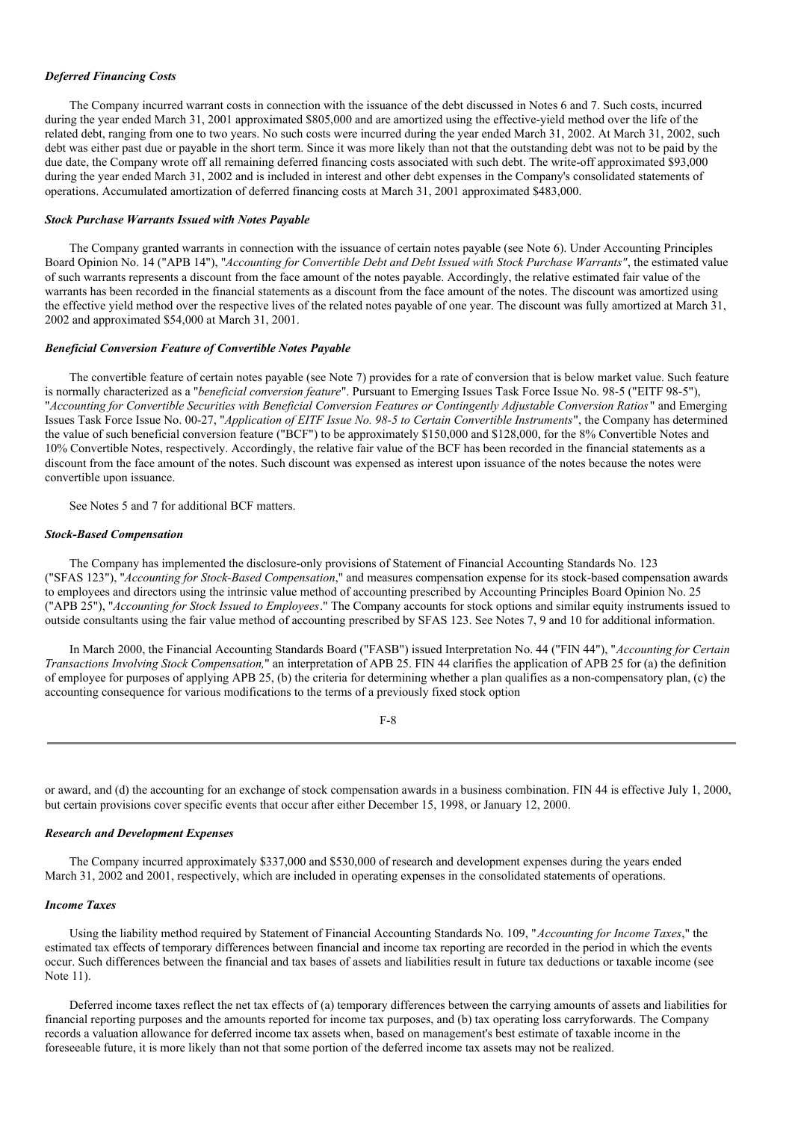### *Deferred Financing Costs*

The Company incurred warrant costs in connection with the issuance of the debt discussed in Notes 6 and 7. Such costs, incurred during the year ended March 31, 2001 approximated \$805,000 and are amortized using the effective-yield method over the life of the related debt, ranging from one to two years. No such costs were incurred during the year ended March 31, 2002. At March 31, 2002, such debt was either past due or payable in the short term. Since it was more likely than not that the outstanding debt was not to be paid by the due date, the Company wrote off all remaining deferred financing costs associated with such debt. The write-off approximated \$93,000 during the year ended March 31, 2002 and is included in interest and other debt expenses in the Company's consolidated statements of operations. Accumulated amortization of deferred financing costs at March 31, 2001 approximated \$483,000.

#### *Stock Purchase Warrants Issued with Notes Payable*

The Company granted warrants in connection with the issuance of certain notes payable (see Note 6). Under Accounting Principles Board Opinion No. 14 ("APB 14"), "*Accounting for Convertible Debt and Debt Issued with Stock Purchase Warrants"*, the estimated value of such warrants represents a discount from the face amount of the notes payable. Accordingly, the relative estimated fair value of the warrants has been recorded in the financial statements as a discount from the face amount of the notes. The discount was amortized using the effective yield method over the respective lives of the related notes payable of one year. The discount was fully amortized at March 31, 2002 and approximated \$54,000 at March 31, 2001.

## *Beneficial Conversion Feature of Convertible Notes Payable*

The convertible feature of certain notes payable (see Note 7) provides for a rate of conversion that is below market value. Such feature is normally characterized as a "*beneficial conversion feature*". Pursuant to Emerging Issues Task Force Issue No. 98-5 ("EITF 98-5"), "Accounting for Convertible Securities with Beneficial Conversion Features or Contingently Adjustable Conversion Ratios" and Emerging Issues Task Force Issue No. 00-27, "*Application of EITF Issue No. 98-5 to Certain Convertible Instruments*", the Company has determined the value of such beneficial conversion feature ("BCF") to be approximately \$150,000 and \$128,000, for the 8% Convertible Notes and 10% Convertible Notes, respectively. Accordingly, the relative fair value of the BCF has been recorded in the financial statements as a discount from the face amount of the notes. Such discount was expensed as interest upon issuance of the notes because the notes were convertible upon issuance.

See Notes 5 and 7 for additional BCF matters.

#### *Stock-Based Compensation*

The Company has implemented the disclosure-only provisions of Statement of Financial Accounting Standards No. 123 ("SFAS 123"), "*Accounting for Stock-Based Compensation*," and measures compensation expense for its stock-based compensation awards to employees and directors using the intrinsic value method of accounting prescribed by Accounting Principles Board Opinion No. 25 ("APB 25"), "*Accounting for Stock Issued to Employees*." The Company accounts for stock options and similar equity instruments issued to outside consultants using the fair value method of accounting prescribed by SFAS 123. See Notes 7, 9 and 10 for additional information.

In March 2000, the Financial Accounting Standards Board ("FASB") issued Interpretation No. 44 ("FIN 44"), "*Accounting for Certain Transactions Involving Stock Compensation,*" an interpretation of APB 25. FIN 44 clarifies the application of APB 25 for (a) the definition of employee for purposes of applying APB 25, (b) the criteria for determining whether a plan qualifies as a non-compensatory plan, (c) the accounting consequence for various modifications to the terms of a previously fixed stock option

| ×<br>i<br>M.<br>۰. |  |
|--------------------|--|
|--------------------|--|

or award, and (d) the accounting for an exchange of stock compensation awards in a business combination. FIN 44 is effective July 1, 2000, but certain provisions cover specific events that occur after either December 15, 1998, or January 12, 2000.

## *Research and Development Expenses*

The Company incurred approximately \$337,000 and \$530,000 of research and development expenses during the years ended March 31, 2002 and 2001, respectively, which are included in operating expenses in the consolidated statements of operations.

#### *Income Taxes*

Using the liability method required by Statement of Financial Accounting Standards No. 109, "*Accounting for Income Taxes*," the estimated tax effects of temporary differences between financial and income tax reporting are recorded in the period in which the events occur. Such differences between the financial and tax bases of assets and liabilities result in future tax deductions or taxable income (see Note 11).

Deferred income taxes reflect the net tax effects of (a) temporary differences between the carrying amounts of assets and liabilities for financial reporting purposes and the amounts reported for income tax purposes, and (b) tax operating loss carryforwards. The Company records a valuation allowance for deferred income tax assets when, based on management's best estimate of taxable income in the foreseeable future, it is more likely than not that some portion of the deferred income tax assets may not be realized.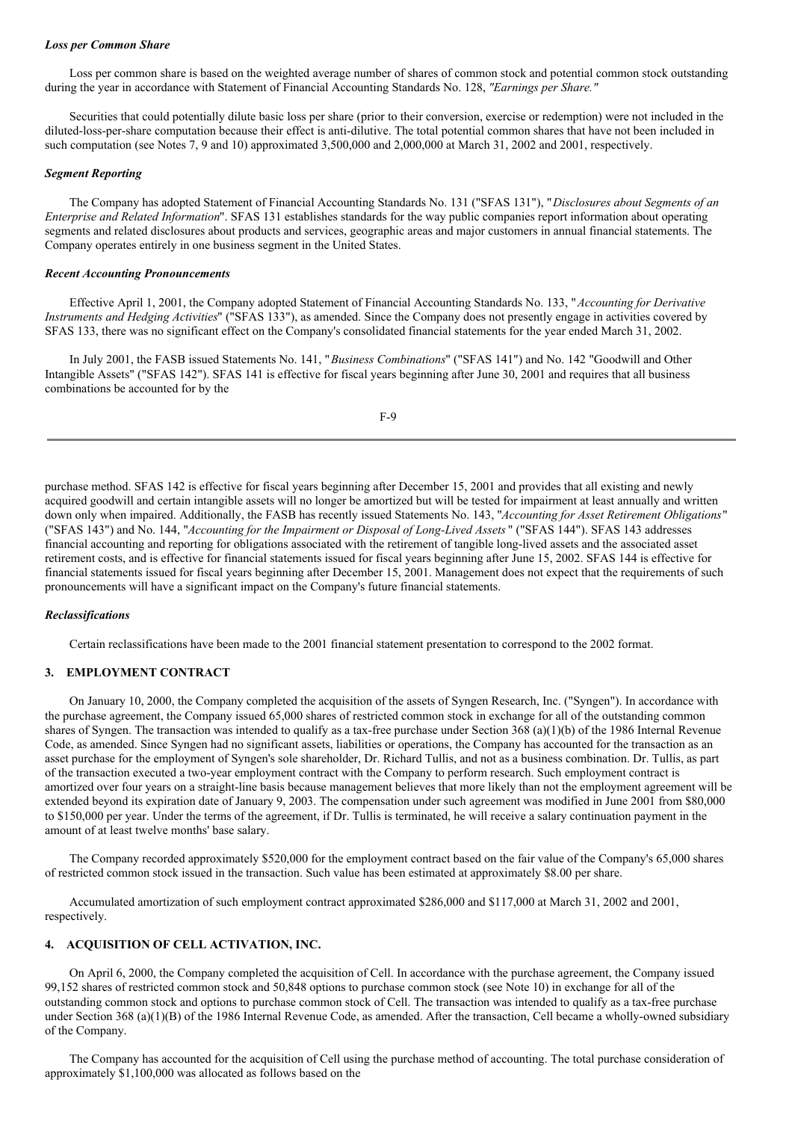## *Loss per Common Share*

Loss per common share is based on the weighted average number of shares of common stock and potential common stock outstanding during the year in accordance with Statement of Financial Accounting Standards No. 128, *"Earnings per Share."*

Securities that could potentially dilute basic loss per share (prior to their conversion, exercise or redemption) were not included in the diluted-loss-per-share computation because their effect is anti-dilutive. The total potential common shares that have not been included in such computation (see Notes 7, 9 and 10) approximated 3,500,000 and 2,000,000 at March 31, 2002 and 2001, respectively.

## *Segment Reporting*

The Company has adopted Statement of Financial Accounting Standards No. 131 ("SFAS 131"), "*Disclosures about Segments of an Enterprise and Related Information*". SFAS 131 establishes standards for the way public companies report information about operating segments and related disclosures about products and services, geographic areas and major customers in annual financial statements. The Company operates entirely in one business segment in the United States.

# *Recent Accounting Pronouncements*

Effective April 1, 2001, the Company adopted Statement of Financial Accounting Standards No. 133, "*Accounting for Derivative Instruments and Hedging Activities*" ("SFAS 133"), as amended. Since the Company does not presently engage in activities covered by SFAS 133, there was no significant effect on the Company's consolidated financial statements for the year ended March 31, 2002.

In July 2001, the FASB issued Statements No. 141, "*Business Combinations*" ("SFAS 141") and No. 142 "Goodwill and Other Intangible Assets" ("SFAS 142"). SFAS 141 is effective for fiscal years beginning after June 30, 2001 and requires that all business combinations be accounted for by the

F-9

purchase method. SFAS 142 is effective for fiscal years beginning after December 15, 2001 and provides that all existing and newly acquired goodwill and certain intangible assets will no longer be amortized but will be tested for impairment at least annually and written down only when impaired. Additionally, the FASB has recently issued Statements No. 143, "*Accounting for Asset Retirement Obligations*" ("SFAS 143") and No. 144, "*Accounting for the Impairment or Disposal of Long-Lived Assets* " ("SFAS 144"). SFAS 143 addresses financial accounting and reporting for obligations associated with the retirement of tangible long-lived assets and the associated asset retirement costs, and is effective for financial statements issued for fiscal years beginning after June 15, 2002. SFAS 144 is effective for financial statements issued for fiscal years beginning after December 15, 2001. Management does not expect that the requirements of such pronouncements will have a significant impact on the Company's future financial statements.

## *Reclassifications*

Certain reclassifications have been made to the 2001 financial statement presentation to correspond to the 2002 format.

# **3. EMPLOYMENT CONTRACT**

On January 10, 2000, the Company completed the acquisition of the assets of Syngen Research, Inc. ("Syngen"). In accordance with the purchase agreement, the Company issued 65,000 shares of restricted common stock in exchange for all of the outstanding common shares of Syngen. The transaction was intended to qualify as a tax-free purchase under Section 368 (a)(1)(b) of the 1986 Internal Revenue Code, as amended. Since Syngen had no significant assets, liabilities or operations, the Company has accounted for the transaction as an asset purchase for the employment of Syngen's sole shareholder, Dr. Richard Tullis, and not as a business combination. Dr. Tullis, as part of the transaction executed a two-year employment contract with the Company to perform research. Such employment contract is amortized over four years on a straight-line basis because management believes that more likely than not the employment agreement will be extended beyond its expiration date of January 9, 2003. The compensation under such agreement was modified in June 2001 from \$80,000 to \$150,000 per year. Under the terms of the agreement, if Dr. Tullis is terminated, he will receive a salary continuation payment in the amount of at least twelve months' base salary.

The Company recorded approximately \$520,000 for the employment contract based on the fair value of the Company's 65,000 shares of restricted common stock issued in the transaction. Such value has been estimated at approximately \$8.00 per share.

Accumulated amortization of such employment contract approximated \$286,000 and \$117,000 at March 31, 2002 and 2001, respectively.

# **4. ACQUISITION OF CELL ACTIVATION, INC.**

On April 6, 2000, the Company completed the acquisition of Cell. In accordance with the purchase agreement, the Company issued 99,152 shares of restricted common stock and 50,848 options to purchase common stock (see Note 10) in exchange for all of the outstanding common stock and options to purchase common stock of Cell. The transaction was intended to qualify as a tax-free purchase under Section 368 (a)(1)(B) of the 1986 Internal Revenue Code, as amended. After the transaction, Cell became a wholly-owned subsidiary of the Company.

The Company has accounted for the acquisition of Cell using the purchase method of accounting. The total purchase consideration of approximately \$1,100,000 was allocated as follows based on the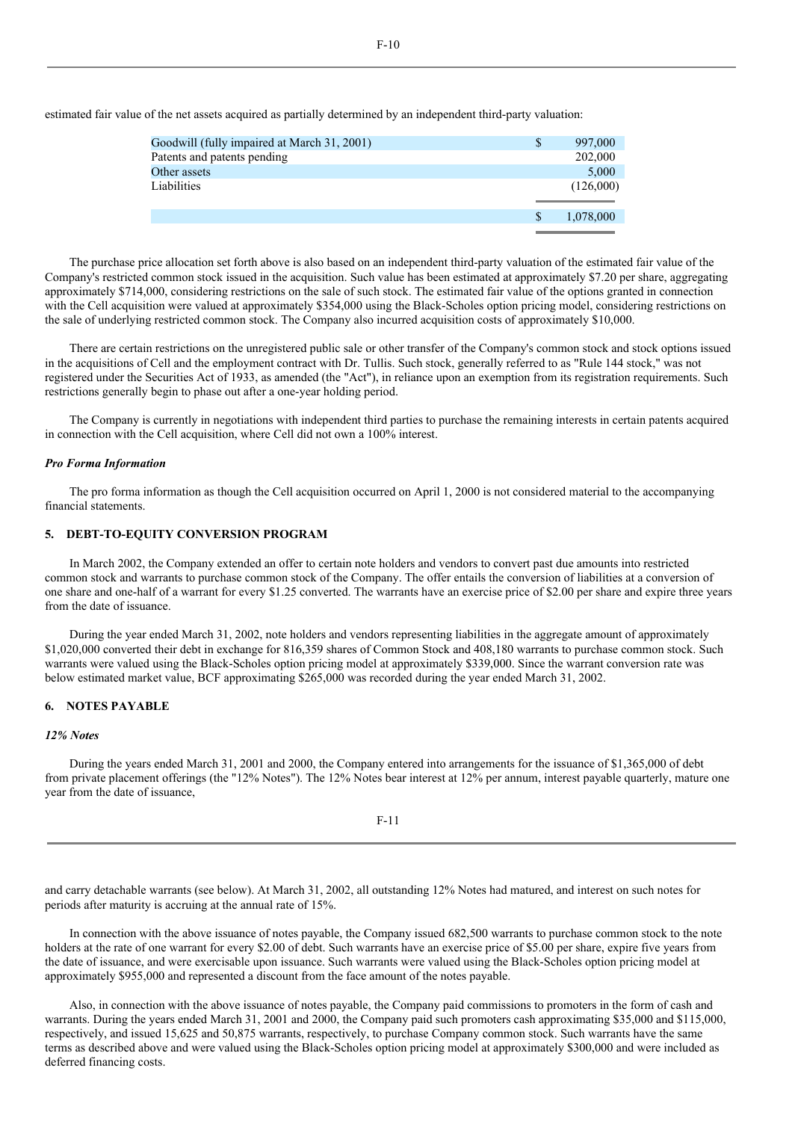| Goodwill (fully impaired at March 31, 2001) | S  | 997,000   |
|---------------------------------------------|----|-----------|
| Patents and patents pending                 |    | 202,000   |
| Other assets                                |    | 5,000     |
| Liabilities                                 |    | (126,000) |
|                                             |    |           |
|                                             | -S | 1,078,000 |
|                                             |    |           |

estimated fair value of the net assets acquired as partially determined by an independent third-party valuation:

The purchase price allocation set forth above is also based on an independent third-party valuation of the estimated fair value of the Company's restricted common stock issued in the acquisition. Such value has been estimated at approximately \$7.20 per share, aggregating approximately \$714,000, considering restrictions on the sale of such stock. The estimated fair value of the options granted in connection with the Cell acquisition were valued at approximately \$354,000 using the Black-Scholes option pricing model, considering restrictions on the sale of underlying restricted common stock. The Company also incurred acquisition costs of approximately \$10,000.

There are certain restrictions on the unregistered public sale or other transfer of the Company's common stock and stock options issued in the acquisitions of Cell and the employment contract with Dr. Tullis. Such stock, generally referred to as "Rule 144 stock," was not registered under the Securities Act of 1933, as amended (the "Act"), in reliance upon an exemption from its registration requirements. Such restrictions generally begin to phase out after a one-year holding period.

The Company is currently in negotiations with independent third parties to purchase the remaining interests in certain patents acquired in connection with the Cell acquisition, where Cell did not own a 100% interest.

## *Pro Forma Information*

The pro forma information as though the Cell acquisition occurred on April 1, 2000 is not considered material to the accompanying financial statements.

# **5. DEBT-TO-EQUITY CONVERSION PROGRAM**

In March 2002, the Company extended an offer to certain note holders and vendors to convert past due amounts into restricted common stock and warrants to purchase common stock of the Company. The offer entails the conversion of liabilities at a conversion of one share and one-half of a warrant for every \$1.25 converted. The warrants have an exercise price of \$2.00 per share and expire three years from the date of issuance.

During the year ended March 31, 2002, note holders and vendors representing liabilities in the aggregate amount of approximately \$1,020,000 converted their debt in exchange for 816,359 shares of Common Stock and 408,180 warrants to purchase common stock. Such warrants were valued using the Black-Scholes option pricing model at approximately \$339,000. Since the warrant conversion rate was below estimated market value, BCF approximating \$265,000 was recorded during the year ended March 31, 2002.

# **6. NOTES PAYABLE**

#### *12% Notes*

During the years ended March 31, 2001 and 2000, the Company entered into arrangements for the issuance of \$1,365,000 of debt from private placement offerings (the "12% Notes"). The 12% Notes bear interest at 12% per annum, interest payable quarterly, mature one year from the date of issuance,

and carry detachable warrants (see below). At March 31, 2002, all outstanding 12% Notes had matured, and interest on such notes for periods after maturity is accruing at the annual rate of 15%.

In connection with the above issuance of notes payable, the Company issued 682,500 warrants to purchase common stock to the note holders at the rate of one warrant for every \$2.00 of debt. Such warrants have an exercise price of \$5.00 per share, expire five years from the date of issuance, and were exercisable upon issuance. Such warrants were valued using the Black-Scholes option pricing model at approximately \$955,000 and represented a discount from the face amount of the notes payable.

Also, in connection with the above issuance of notes payable, the Company paid commissions to promoters in the form of cash and warrants. During the years ended March 31, 2001 and 2000, the Company paid such promoters cash approximating \$35,000 and \$115,000, respectively, and issued 15,625 and 50,875 warrants, respectively, to purchase Company common stock. Such warrants have the same terms as described above and were valued using the Black-Scholes option pricing model at approximately \$300,000 and were included as deferred financing costs.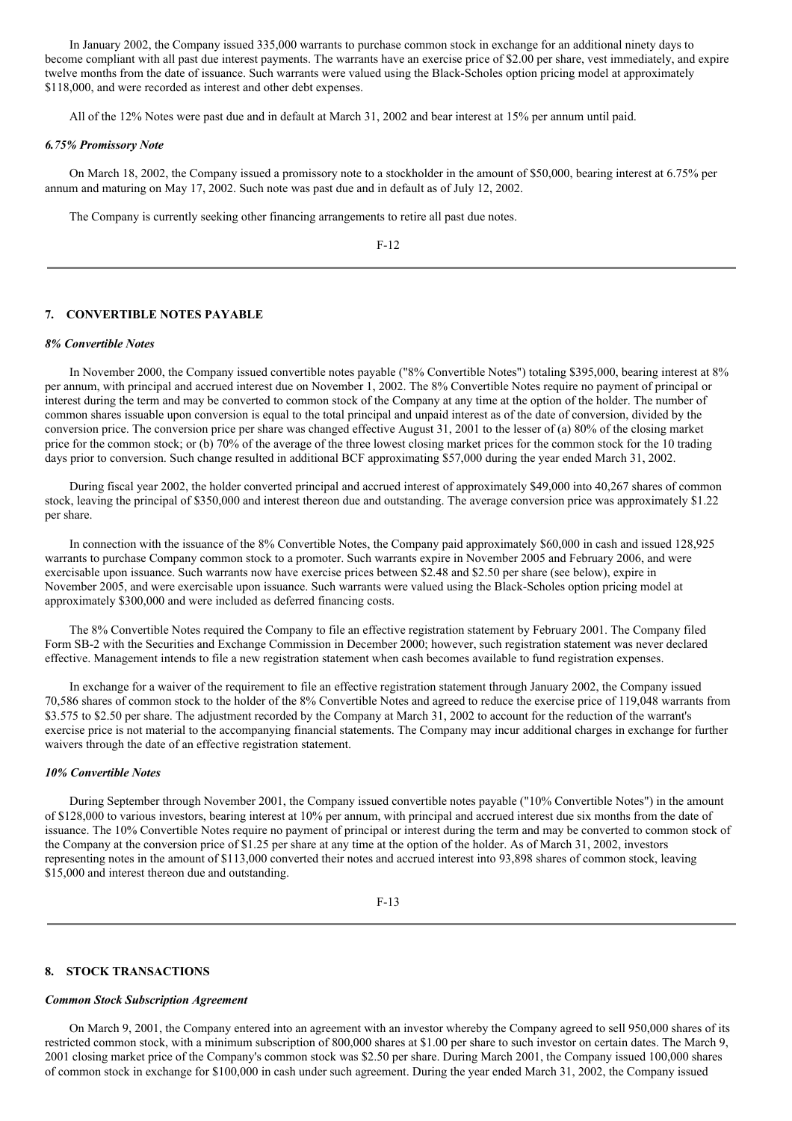In January 2002, the Company issued 335,000 warrants to purchase common stock in exchange for an additional ninety days to become compliant with all past due interest payments. The warrants have an exercise price of \$2.00 per share, vest immediately, and expire twelve months from the date of issuance. Such warrants were valued using the Black-Scholes option pricing model at approximately \$118,000, and were recorded as interest and other debt expenses.

All of the 12% Notes were past due and in default at March 31, 2002 and bear interest at 15% per annum until paid.

#### *6.75% Promissory Note*

On March 18, 2002, the Company issued a promissory note to a stockholder in the amount of \$50,000, bearing interest at 6.75% per annum and maturing on May 17, 2002. Such note was past due and in default as of July 12, 2002.

The Company is currently seeking other financing arrangements to retire all past due notes.

# **7. CONVERTIBLE NOTES PAYABLE**

## *8% Convertible Notes*

In November 2000, the Company issued convertible notes payable ("8% Convertible Notes") totaling \$395,000, bearing interest at 8% per annum, with principal and accrued interest due on November 1, 2002. The 8% Convertible Notes require no payment of principal or interest during the term and may be converted to common stock of the Company at any time at the option of the holder. The number of common shares issuable upon conversion is equal to the total principal and unpaid interest as of the date of conversion, divided by the conversion price. The conversion price per share was changed effective August 31, 2001 to the lesser of (a) 80% of the closing market price for the common stock; or (b) 70% of the average of the three lowest closing market prices for the common stock for the 10 trading days prior to conversion. Such change resulted in additional BCF approximating \$57,000 during the year ended March 31, 2002.

During fiscal year 2002, the holder converted principal and accrued interest of approximately \$49,000 into 40,267 shares of common stock, leaving the principal of \$350,000 and interest thereon due and outstanding. The average conversion price was approximately \$1.22 per share.

In connection with the issuance of the 8% Convertible Notes, the Company paid approximately \$60,000 in cash and issued 128,925 warrants to purchase Company common stock to a promoter. Such warrants expire in November 2005 and February 2006, and were exercisable upon issuance. Such warrants now have exercise prices between \$2.48 and \$2.50 per share (see below), expire in November 2005, and were exercisable upon issuance. Such warrants were valued using the Black-Scholes option pricing model at approximately \$300,000 and were included as deferred financing costs.

The 8% Convertible Notes required the Company to file an effective registration statement by February 2001. The Company filed Form SB-2 with the Securities and Exchange Commission in December 2000; however, such registration statement was never declared effective. Management intends to file a new registration statement when cash becomes available to fund registration expenses.

In exchange for a waiver of the requirement to file an effective registration statement through January 2002, the Company issued 70,586 shares of common stock to the holder of the 8% Convertible Notes and agreed to reduce the exercise price of 119,048 warrants from \$3.575 to \$2.50 per share. The adjustment recorded by the Company at March 31, 2002 to account for the reduction of the warrant's exercise price is not material to the accompanying financial statements. The Company may incur additional charges in exchange for further waivers through the date of an effective registration statement.

## *10% Convertible Notes*

During September through November 2001, the Company issued convertible notes payable ("10% Convertible Notes") in the amount of \$128,000 to various investors, bearing interest at 10% per annum, with principal and accrued interest due six months from the date of issuance. The 10% Convertible Notes require no payment of principal or interest during the term and may be converted to common stock of the Company at the conversion price of \$1.25 per share at any time at the option of the holder. As of March 31, 2002, investors representing notes in the amount of \$113,000 converted their notes and accrued interest into 93,898 shares of common stock, leaving \$15,000 and interest thereon due and outstanding.

F-13

#### **8. STOCK TRANSACTIONS**

#### *Common Stock Subscription Agreement*

On March 9, 2001, the Company entered into an agreement with an investor whereby the Company agreed to sell 950,000 shares of its restricted common stock, with a minimum subscription of 800,000 shares at \$1.00 per share to such investor on certain dates. The March 9, 2001 closing market price of the Company's common stock was \$2.50 per share. During March 2001, the Company issued 100,000 shares of common stock in exchange for \$100,000 in cash under such agreement. During the year ended March 31, 2002, the Company issued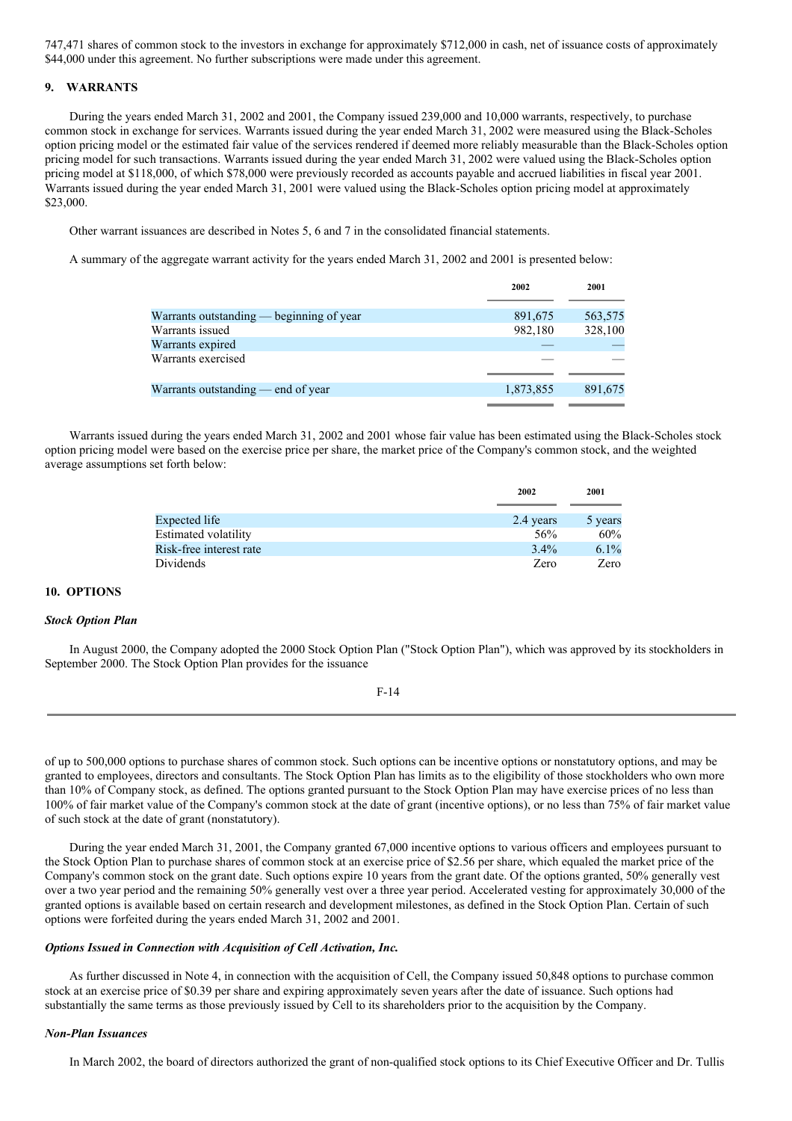747,471 shares of common stock to the investors in exchange for approximately \$712,000 in cash, net of issuance costs of approximately \$44,000 under this agreement. No further subscriptions were made under this agreement.

# **9. WARRANTS**

During the years ended March 31, 2002 and 2001, the Company issued 239,000 and 10,000 warrants, respectively, to purchase common stock in exchange for services. Warrants issued during the year ended March 31, 2002 were measured using the Black-Scholes option pricing model or the estimated fair value of the services rendered if deemed more reliably measurable than the Black-Scholes option pricing model for such transactions. Warrants issued during the year ended March 31, 2002 were valued using the Black-Scholes option pricing model at \$118,000, of which \$78,000 were previously recorded as accounts payable and accrued liabilities in fiscal year 2001. Warrants issued during the year ended March 31, 2001 were valued using the Black-Scholes option pricing model at approximately \$23,000.

Other warrant issuances are described in Notes 5, 6 and 7 in the consolidated financial statements.

A summary of the aggregate warrant activity for the years ended March 31, 2002 and 2001 is presented below:

|                                          | 2002      | 2001    |
|------------------------------------------|-----------|---------|
|                                          | 891,675   |         |
| Warrants outstanding — beginning of year |           | 563,575 |
| Warrants issued                          | 982,180   | 328,100 |
| Warrants expired                         |           |         |
| Warrants exercised                       |           |         |
| Warrants outstanding $-$ end of year     | 1,873,855 | 891,675 |
|                                          |           |         |

Warrants issued during the years ended March 31, 2002 and 2001 whose fair value has been estimated using the Black-Scholes stock option pricing model were based on the exercise price per share, the market price of the Company's common stock, and the weighted average assumptions set forth below:

|                         | 2002      | 2001    |
|-------------------------|-----------|---------|
|                         |           |         |
| Expected life           | 2.4 years | 5 years |
| Estimated volatility    | 56%       | 60%     |
| Risk-free interest rate | $3.4\%$   | 6.1%    |
| Dividends               | Zero      | Zero    |

# **10. OPTIONS**

## *Stock Option Plan*

In August 2000, the Company adopted the 2000 Stock Option Plan ("Stock Option Plan"), which was approved by its stockholders in September 2000. The Stock Option Plan provides for the issuance

|--|--|

of up to 500,000 options to purchase shares of common stock. Such options can be incentive options or nonstatutory options, and may be granted to employees, directors and consultants. The Stock Option Plan has limits as to the eligibility of those stockholders who own more than 10% of Company stock, as defined. The options granted pursuant to the Stock Option Plan may have exercise prices of no less than 100% of fair market value of the Company's common stock at the date of grant (incentive options), or no less than 75% of fair market value of such stock at the date of grant (nonstatutory).

During the year ended March 31, 2001, the Company granted 67,000 incentive options to various officers and employees pursuant to the Stock Option Plan to purchase shares of common stock at an exercise price of \$2.56 per share, which equaled the market price of the Company's common stock on the grant date. Such options expire 10 years from the grant date. Of the options granted, 50% generally vest over a two year period and the remaining 50% generally vest over a three year period. Accelerated vesting for approximately 30,000 of the granted options is available based on certain research and development milestones, as defined in the Stock Option Plan. Certain of such options were forfeited during the years ended March 31, 2002 and 2001.

## *Options Issued in Connection with Acquisition of Cell Activation, Inc.*

As further discussed in Note 4, in connection with the acquisition of Cell, the Company issued 50,848 options to purchase common stock at an exercise price of \$0.39 per share and expiring approximately seven years after the date of issuance. Such options had substantially the same terms as those previously issued by Cell to its shareholders prior to the acquisition by the Company.

## *Non-Plan Issuances*

In March 2002, the board of directors authorized the grant of non-qualified stock options to its Chief Executive Officer and Dr. Tullis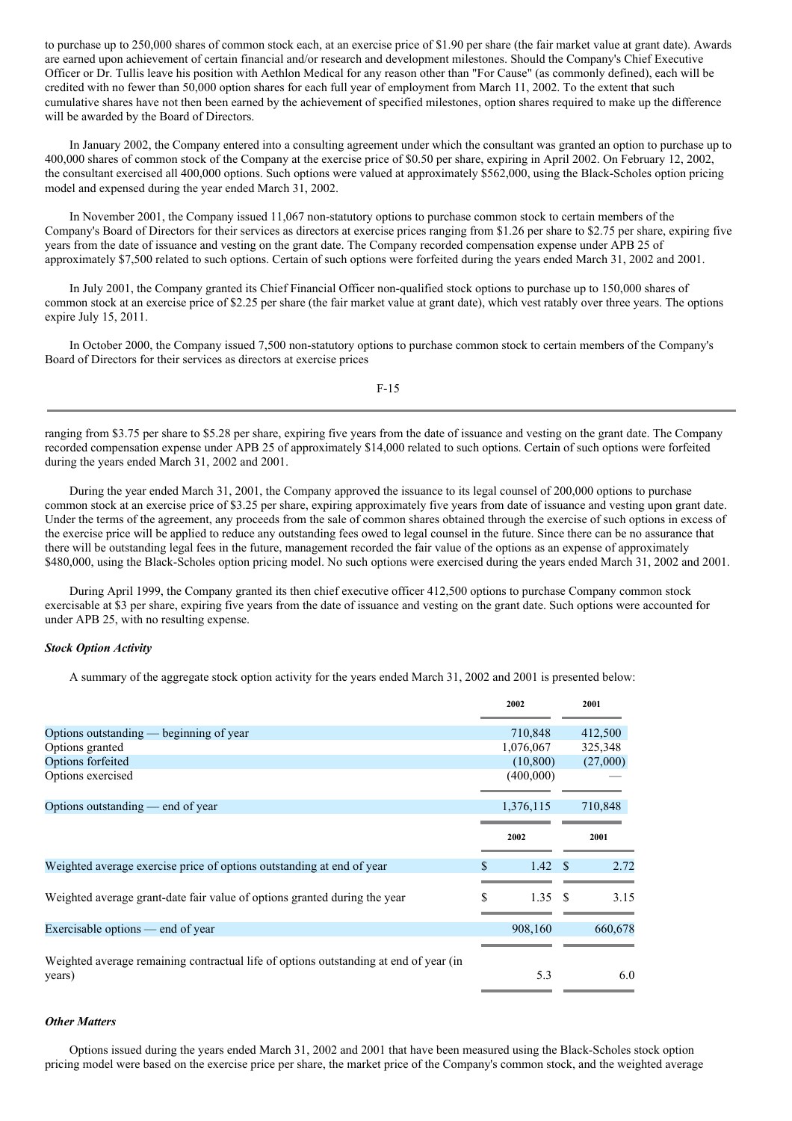to purchase up to 250,000 shares of common stock each, at an exercise price of \$1.90 per share (the fair market value at grant date). Awards are earned upon achievement of certain financial and/or research and development milestones. Should the Company's Chief Executive Officer or Dr. Tullis leave his position with Aethlon Medical for any reason other than "For Cause" (as commonly defined), each will be credited with no fewer than 50,000 option shares for each full year of employment from March 11, 2002. To the extent that such cumulative shares have not then been earned by the achievement of specified milestones, option shares required to make up the difference will be awarded by the Board of Directors.

In January 2002, the Company entered into a consulting agreement under which the consultant was granted an option to purchase up to 400,000 shares of common stock of the Company at the exercise price of \$0.50 per share, expiring in April 2002. On February 12, 2002, the consultant exercised all 400,000 options. Such options were valued at approximately \$562,000, using the Black-Scholes option pricing model and expensed during the year ended March 31, 2002.

In November 2001, the Company issued 11,067 non-statutory options to purchase common stock to certain members of the Company's Board of Directors for their services as directors at exercise prices ranging from \$1.26 per share to \$2.75 per share, expiring five years from the date of issuance and vesting on the grant date. The Company recorded compensation expense under APB 25 of approximately \$7,500 related to such options. Certain of such options were forfeited during the years ended March 31, 2002 and 2001.

In July 2001, the Company granted its Chief Financial Officer non-qualified stock options to purchase up to 150,000 shares of common stock at an exercise price of \$2.25 per share (the fair market value at grant date), which vest ratably over three years. The options expire July 15, 2011.

In October 2000, the Company issued 7,500 non-statutory options to purchase common stock to certain members of the Company's Board of Directors for their services as directors at exercise prices

F-15

ranging from \$3.75 per share to \$5.28 per share, expiring five years from the date of issuance and vesting on the grant date. The Company recorded compensation expense under APB 25 of approximately \$14,000 related to such options. Certain of such options were forfeited during the years ended March 31, 2002 and 2001.

During the year ended March 31, 2001, the Company approved the issuance to its legal counsel of 200,000 options to purchase common stock at an exercise price of \$3.25 per share, expiring approximately five years from date of issuance and vesting upon grant date. Under the terms of the agreement, any proceeds from the sale of common shares obtained through the exercise of such options in excess of the exercise price will be applied to reduce any outstanding fees owed to legal counsel in the future. Since there can be no assurance that there will be outstanding legal fees in the future, management recorded the fair value of the options as an expense of approximately \$480,000, using the Black-Scholes option pricing model. No such options were exercised during the years ended March 31, 2002 and 2001.

During April 1999, the Company granted its then chief executive officer 412,500 options to purchase Company common stock exercisable at \$3 per share, expiring five years from the date of issuance and vesting on the grant date. Such options were accounted for under APB 25, with no resulting expense.

# *Stock Option Activity*

A summary of the aggregate stock option activity for the years ended March 31, 2002 and 2001 is presented below:

|                                                                                                 |     | 2002            | 2001     |
|-------------------------------------------------------------------------------------------------|-----|-----------------|----------|
| Options outstanding — beginning of year                                                         |     | 710,848         | 412,500  |
| Options granted                                                                                 |     | 1,076,067       | 325,348  |
| Options forfeited                                                                               |     | (10, 800)       | (27,000) |
| Options exercised                                                                               |     | (400,000)       |          |
| Options outstanding $-$ end of year                                                             |     | 1,376,115       | 710,848  |
|                                                                                                 |     | 2002            | 2001     |
| Weighted average exercise price of options outstanding at end of year                           | \$. | $1.42 \quad$ \$ | 2.72     |
| Weighted average grant-date fair value of options granted during the year                       | \$. | 1.35S           | 3.15     |
| Exercisable options — end of year                                                               |     | 908,160         | 660,678  |
| Weighted average remaining contractual life of options outstanding at end of year (in<br>years) |     | 5.3             | 6.0      |
|                                                                                                 |     |                 |          |

## *Other Matters*

Options issued during the years ended March 31, 2002 and 2001 that have been measured using the Black-Scholes stock option pricing model were based on the exercise price per share, the market price of the Company's common stock, and the weighted average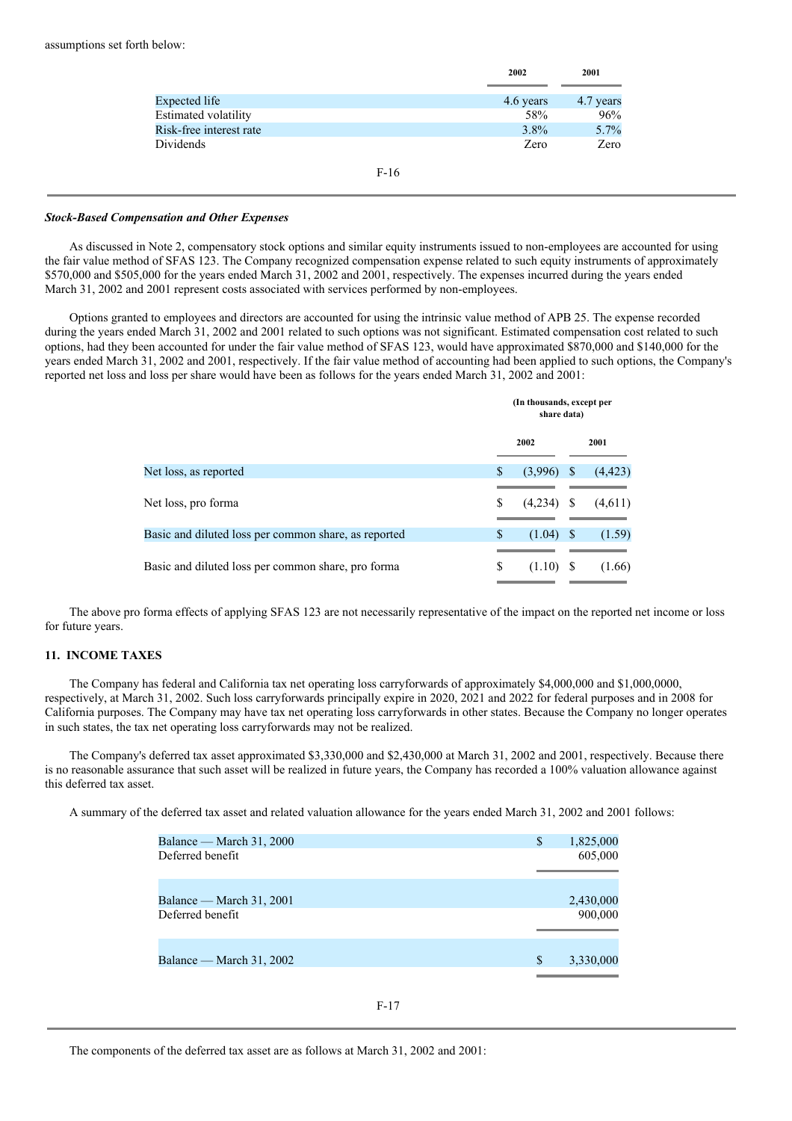|                         | 2002      | 2001      |  |
|-------------------------|-----------|-----------|--|
|                         |           |           |  |
| Expected life           | 4.6 years | 4.7 years |  |
| Estimated volatility    | 58%       | 96%       |  |
| Risk-free interest rate | $3.8\%$   | 5.7%      |  |
| Dividends               | Zero      | Zero      |  |

F-16

## *Stock-Based Compensation and Other Expenses*

As discussed in Note 2, compensatory stock options and similar equity instruments issued to non-employees are accounted for using the fair value method of SFAS 123. The Company recognized compensation expense related to such equity instruments of approximately \$570,000 and \$505,000 for the years ended March 31, 2002 and 2001, respectively. The expenses incurred during the years ended March 31, 2002 and 2001 represent costs associated with services performed by non-employees.

Options granted to employees and directors are accounted for using the intrinsic value method of APB 25. The expense recorded during the years ended March 31, 2002 and 2001 related to such options was not significant. Estimated compensation cost related to such options, had they been accounted for under the fair value method of SFAS 123, would have approximated \$870,000 and \$140,000 for the years ended March 31, 2002 and 2001, respectively. If the fair value method of accounting had been applied to such options, the Company's reported net loss and loss per share would have been as follows for the years ended March 31, 2002 and 2001:

|                                                      |    | (In thousands, except per<br>share data) |              |          |  |
|------------------------------------------------------|----|------------------------------------------|--------------|----------|--|
|                                                      |    | 2002                                     |              | 2001     |  |
| Net loss, as reported                                | \$ | (3,996)                                  | <sup>S</sup> | (4, 423) |  |
| Net loss, pro forma                                  | \$ | $(4,234)$ \$                             |              | (4,611)  |  |
| Basic and diluted loss per common share, as reported | S  | (1.04)                                   | - \$         | (1.59)   |  |
| Basic and diluted loss per common share, pro forma   | S  | $(1.10)$ \$                              |              | (1.66)   |  |
|                                                      |    |                                          |              |          |  |

The above pro forma effects of applying SFAS 123 are not necessarily representative of the impact on the reported net income or loss for future years.

# **11. INCOME TAXES**

The Company has federal and California tax net operating loss carryforwards of approximately \$4,000,000 and \$1,000,0000, respectively, at March 31, 2002. Such loss carryforwards principally expire in 2020, 2021 and 2022 for federal purposes and in 2008 for California purposes. The Company may have tax net operating loss carryforwards in other states. Because the Company no longer operates in such states, the tax net operating loss carryforwards may not be realized.

The Company's deferred tax asset approximated \$3,330,000 and \$2,430,000 at March 31, 2002 and 2001, respectively. Because there is no reasonable assurance that such asset will be realized in future years, the Company has recorded a 100% valuation allowance against this deferred tax asset.

A summary of the deferred tax asset and related valuation allowance for the years ended March 31, 2002 and 2001 follows:

| Balance — March 31, 2000 | S | 1,825,000 |
|--------------------------|---|-----------|
| Deferred benefit         |   | 605,000   |
| Balance — March 31, 2001 |   | 2,430,000 |
| Deferred benefit         |   | 900,000   |
| Balance — March 31, 2002 | S | 3,330,000 |

The components of the deferred tax asset are as follows at March 31, 2002 and 2001: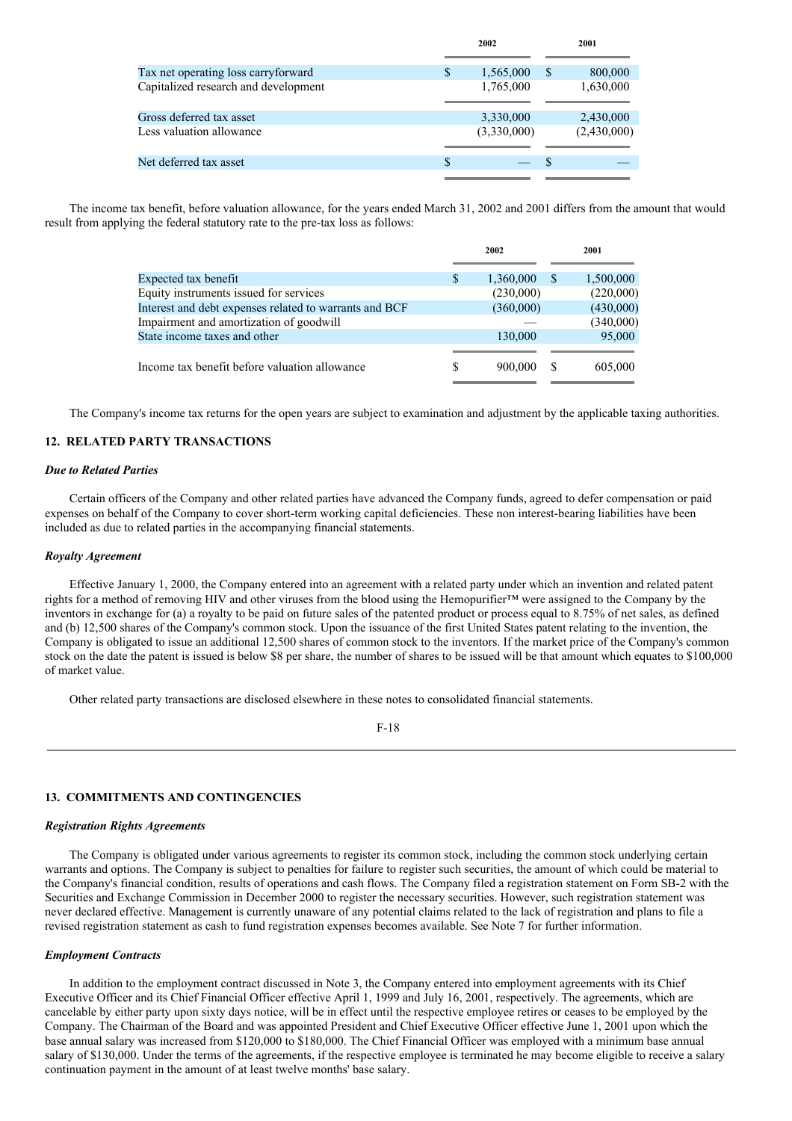|                                                      |    | 2002                     |    | 2001                     |  |
|------------------------------------------------------|----|--------------------------|----|--------------------------|--|
| Tax net operating loss carryforward                  | S  | 1,565,000                | S  | 800,000                  |  |
| Capitalized research and development                 |    | 1,765,000                |    | 1,630,000                |  |
| Gross deferred tax asset<br>Less valuation allowance |    | 3,330,000<br>(3,330,000) |    | 2,430,000<br>(2,430,000) |  |
| Net deferred tax asset                               | \$ |                          | -S |                          |  |
|                                                      |    |                          |    |                          |  |

The income tax benefit, before valuation allowance, for the years ended March 31, 2002 and 2001 differs from the amount that would result from applying the federal statutory rate to the pre-tax loss as follows:

|                                                        | 2002 |           | 2001 |           |
|--------------------------------------------------------|------|-----------|------|-----------|
|                                                        |      |           |      |           |
| Expected tax benefit                                   | S    | 1,360,000 | -S   | 1,500,000 |
| Equity instruments issued for services                 |      | (230,000) |      | (220,000) |
| Interest and debt expenses related to warrants and BCF |      | (360,000) |      | (430,000) |
| Impairment and amortization of goodwill                |      |           |      | (340,000) |
| State income taxes and other                           |      | 130,000   |      | 95,000    |
|                                                        |      |           |      |           |
| Income tax benefit before valuation allowance          | S    | 900,000   | -S   | 605,000   |
|                                                        |      |           |      |           |

The Company's income tax returns for the open years are subject to examination and adjustment by the applicable taxing authorities.

# **12. RELATED PARTY TRANSACTIONS**

## *Due to Related Parties*

Certain officers of the Company and other related parties have advanced the Company funds, agreed to defer compensation or paid expenses on behalf of the Company to cover short-term working capital deficiencies. These non interest-bearing liabilities have been included as due to related parties in the accompanying financial statements.

## *Royalty Agreement*

Effective January 1, 2000, the Company entered into an agreement with a related party under which an invention and related patent rights for a method of removing HIV and other viruses from the blood using the Hemopurifier™ were assigned to the Company by the inventors in exchange for (a) a royalty to be paid on future sales of the patented product or process equal to 8.75% of net sales, as defined and (b) 12,500 shares of the Company's common stock. Upon the issuance of the first United States patent relating to the invention, the Company is obligated to issue an additional 12,500 shares of common stock to the inventors. If the market price of the Company's common stock on the date the patent is issued is below \$8 per share, the number of shares to be issued will be that amount which equates to \$100,000 of market value.

Other related party transactions are disclosed elsewhere in these notes to consolidated financial statements.

F-18

# **13. COMMITMENTS AND CONTINGENCIES**

# *Registration Rights Agreements*

The Company is obligated under various agreements to register its common stock, including the common stock underlying certain warrants and options. The Company is subject to penalties for failure to register such securities, the amount of which could be material to the Company's financial condition, results of operations and cash flows. The Company filed a registration statement on Form SB-2 with the Securities and Exchange Commission in December 2000 to register the necessary securities. However, such registration statement was never declared effective. Management is currently unaware of any potential claims related to the lack of registration and plans to file a revised registration statement as cash to fund registration expenses becomes available. See Note 7 for further information.

#### *Employment Contracts*

In addition to the employment contract discussed in Note 3, the Company entered into employment agreements with its Chief Executive Officer and its Chief Financial Officer effective April 1, 1999 and July 16, 2001, respectively. The agreements, which are cancelable by either party upon sixty days notice, will be in effect until the respective employee retires or ceases to be employed by the Company. The Chairman of the Board and was appointed President and Chief Executive Officer effective June 1, 2001 upon which the base annual salary was increased from \$120,000 to \$180,000. The Chief Financial Officer was employed with a minimum base annual salary of \$130,000. Under the terms of the agreements, if the respective employee is terminated he may become eligible to receive a salary continuation payment in the amount of at least twelve months' base salary.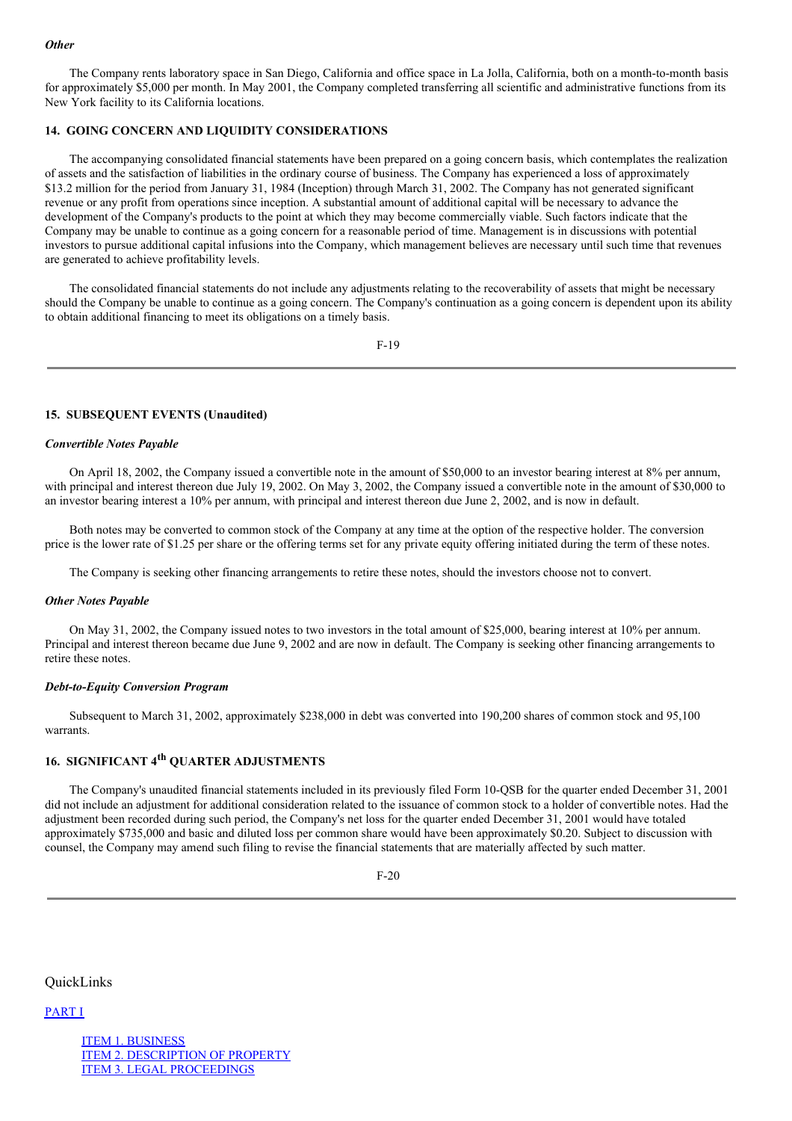## *Other*

The Company rents laboratory space in San Diego, California and office space in La Jolla, California, both on a month-to-month basis for approximately \$5,000 per month. In May 2001, the Company completed transferring all scientific and administrative functions from its New York facility to its California locations.

# **14. GOING CONCERN AND LIQUIDITY CONSIDERATIONS**

The accompanying consolidated financial statements have been prepared on a going concern basis, which contemplates the realization of assets and the satisfaction of liabilities in the ordinary course of business. The Company has experienced a loss of approximately \$13.2 million for the period from January 31, 1984 (Inception) through March 31, 2002. The Company has not generated significant revenue or any profit from operations since inception. A substantial amount of additional capital will be necessary to advance the development of the Company's products to the point at which they may become commercially viable. Such factors indicate that the Company may be unable to continue as a going concern for a reasonable period of time. Management is in discussions with potential investors to pursue additional capital infusions into the Company, which management believes are necessary until such time that revenues are generated to achieve profitability levels.

The consolidated financial statements do not include any adjustments relating to the recoverability of assets that might be necessary should the Company be unable to continue as a going concern. The Company's continuation as a going concern is dependent upon its ability to obtain additional financing to meet its obligations on a timely basis.

F-19

# **15. SUBSEQUENT EVENTS (Unaudited)**

### *Convertible Notes Payable*

On April 18, 2002, the Company issued a convertible note in the amount of \$50,000 to an investor bearing interest at 8% per annum, with principal and interest thereon due July 19, 2002. On May 3, 2002, the Company issued a convertible note in the amount of \$30,000 to an investor bearing interest a 10% per annum, with principal and interest thereon due June 2, 2002, and is now in default.

Both notes may be converted to common stock of the Company at any time at the option of the respective holder. The conversion price is the lower rate of \$1.25 per share or the offering terms set for any private equity offering initiated during the term of these notes.

The Company is seeking other financing arrangements to retire these notes, should the investors choose not to convert.

#### *Other Notes Payable*

On May 31, 2002, the Company issued notes to two investors in the total amount of \$25,000, bearing interest at 10% per annum. Principal and interest thereon became due June 9, 2002 and are now in default. The Company is seeking other financing arrangements to retire these notes.

#### *Debt-to-Equity Conversion Program*

Subsequent to March 31, 2002, approximately \$238,000 in debt was converted into 190,200 shares of common stock and 95,100 warrants.

# **16. SIGNIFICANT 4 th QUARTER ADJUSTMENTS**

The Company's unaudited financial statements included in its previously filed Form 10-QSB for the quarter ended December 31, 2001 did not include an adjustment for additional consideration related to the issuance of common stock to a holder of convertible notes. Had the adjustment been recorded during such period, the Company's net loss for the quarter ended December 31, 2001 would have totaled approximately \$735,000 and basic and diluted loss per common share would have been approximately \$0.20. Subject to discussion with counsel, the Company may amend such filing to revise the financial statements that are materially affected by such matter.

F-20

# QuickLinks

# PART I